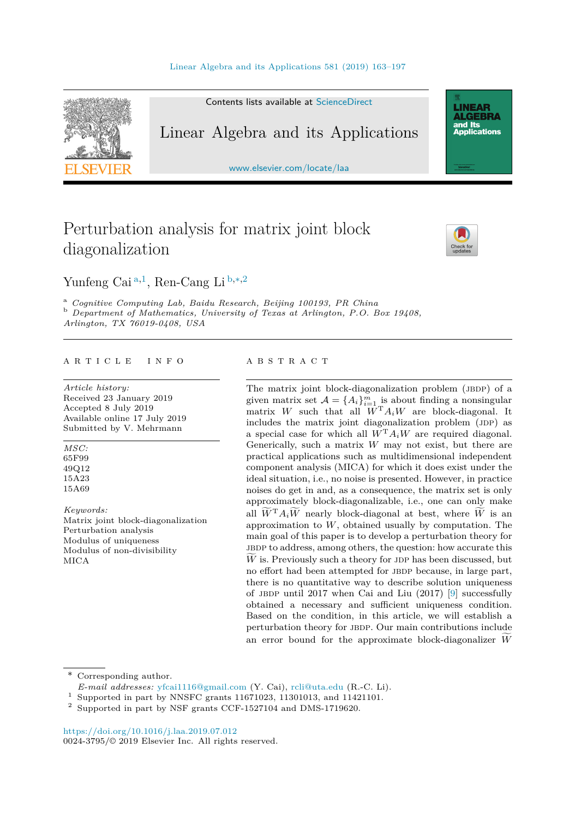

Contents lists available at [ScienceDirect](http://www.ScienceDirect.com/)

## Linear Algebra and its Applications

[www.elsevier.com/locate/laa](http://www.elsevier.com/locate/laa)

# Perturbation analysis for matrix joint block diagonalization



**LINEAR<br>ALGEBRA** and Its ana na<br>Applications

Yunfeng Cai <sup>a</sup>*,*<sup>1</sup>, Ren-Cang Li <sup>b</sup>*,*∗*,*<sup>2</sup>

<sup>a</sup> Cognitive Computing Lab, Baidu Research, Beijing 100193, PR China<br><sup>b</sup> Department of Mathematics, University of Texas at Arlington, P.O. Box 19408, *Arlington, TX 76019-0408, USA*

#### A R T I C L E I N F O A B S T R A C T

*Article history:* Received 23 January 2019 Accepted 8 July 2019 Available online 17 July 2019 Submitted by V. Mehrmann

*MSC:* 65F99 49Q12 15A23

15A69

*Keywords:* Matrix joint block-diagonalization Perturbation analysis Modulus of uniqueness Modulus of non-divisibility MICA

The matrix joint block-diagonalization problem (JBDP) of a given matrix set  $\mathcal{A} = \{A_i\}_{i=1}^m$  is about finding a nonsingular matrix *W* such that all  $\overline{W}^T A_i W$  are block-diagonal. It includes the matrix joint diagonalization problem (JDP) as a special case for which all  $W<sup>T</sup>A_iW$  are required diagonal. Generically, such a matrix *W* may not exist, but there are practical applications such as multidimensional independent component analysis (MICA) for which it does exist under the ideal situation, i.e., no noise is presented. However, in practice noises do get in and, as a consequence, the matrix set is only approximately block-diagonalizable, i.e., one can only make all  $\overline{W}^T A_i \overline{W}$  nearly block-diagonal at best, where  $\overline{W}$  is an approximation to *W*, obtained usually by computation. The main goal of this paper is to develop a perturbation theory for jbdp to address, among others, the question: how accurate this  $\hat{W}$  is. Previously such a theory for JDP has been discussed, but  $\hat{W}$  as  $\hat{W}$  and  $\hat{W}$  has the property in the space of  $\hat{W}$ no effort had been attempted for JBDP because, in large part, there is no quantitative way to describe solution uniqueness of JBDP until 2017 when Cai and Liu  $(2017)$  [\[9\]](#page-33-0) successfully obtained a necessary and sufficient uniqueness condition. Based on the condition, in this article, we will establish a perturbation theory for JBDP. Our main contributions include an error bound for the approximate block-diagonalizer *<sup>W</sup>*-

Corresponding author.

- *E-mail addresses:* [yfcai1116@gmail.com](mailto:yfcai1116@gmail.com) (Y. Cai), [rcli@uta.edu](mailto:rcli@uta.edu) (R.-C. Li).
- <sup>1</sup> Supported in part by NNSFC grants 11671023, 11301013, and 11421101.

<https://doi.org/10.1016/j.laa.2019.07.012> 0024-3795/© 2019 Elsevier Inc. All rights reserved.

<sup>2</sup> Supported in part by NSF grants CCF-1527104 and DMS-1719620.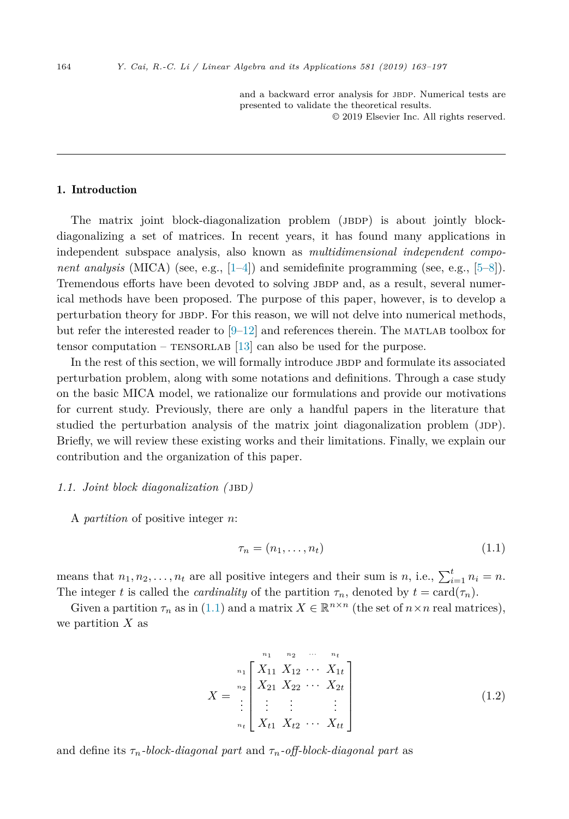and a backward error analysis for JBDP. Numerical tests are presented to validate the theoretical results.

© 2019 Elsevier Inc. All rights reserved.

#### <span id="page-1-0"></span>1. Introduction

The matrix joint block-diagonalization problem (JBDP) is about jointly blockdiagonalizing a set of matrices. In recent years, it has found many applications in independent subspace analysis, also known as *multidimensional independent component analysis* (MICA) (see, e.g., [\[1–4\]](#page-33-0)) and semidefinite programming (see, e.g., [\[5–8\]](#page-33-0)). Tremendous efforts have been devoted to solving JBDP and, as a result, several numerical methods have been proposed. The purpose of this paper, however, is to develop a perturbation theory for JBDP. For this reason, we will not delve into numerical methods, but refer the interested reader to  $[9-12]$  and references therein. The MATLAB toolbox for tensor computation –  $TENSORLAB [13]$  $TENSORLAB [13]$  can also be used for the purpose.

In the rest of this section, we will formally introduce JBDP and formulate its associated perturbation problem, along with some notations and definitions. Through a case study on the basic MICA model, we rationalize our formulations and provide our motivations for current study. Previously, there are only a handful papers in the literature that studied the perturbation analysis of the matrix joint diagonalization problem (JDP). Briefly, we will review these existing works and their limitations. Finally, we explain our contribution and the organization of this paper.

#### *1.1. Joint block diagonalization (* jbd*)*

A *partition* of positive integer *n*:

$$
\tau_n = (n_1, \dots, n_t) \tag{1.1}
$$

means that  $n_1, n_2, \ldots, n_t$  are all positive integers and their sum is *n*, i.e.,  $\sum_{i=1}^{t} n_i = n$ . The integer *t* is called the *cardinality* of the partition  $\tau_n$ , denoted by  $t = \text{card}(\tau_n)$ .

Given a partition  $\tau_n$  as in (1.1) and a matrix  $X \in \mathbb{R}^{n \times n}$  (the set of  $n \times n$  real matrices), we partition *X* as

$$
X = \begin{bmatrix} \binom{n_1}{11} & \binom{n_2}{12} & \cdots & \binom{n_t}{1t} \\ X_{21} & X_{22} & \cdots & X_{2t} \\ \vdots & \vdots & \vdots & \vdots \\ X_{t1} & X_{t2} & \cdots & X_{tt} \end{bmatrix}
$$
(1.2)

and define its  $\tau_n$ -block-diagonal part and  $\tau_n$ -off-block-diagonal part as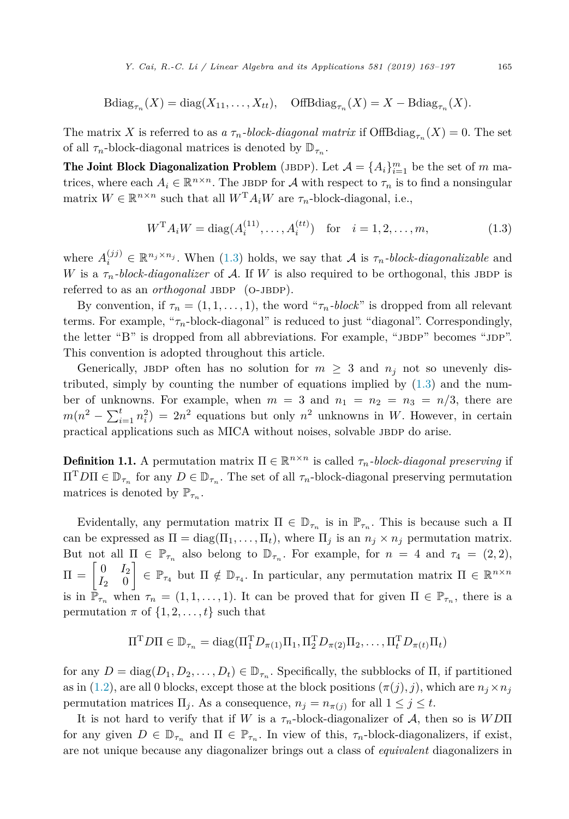Bdiag<sub>$$
\tau_n
$$</sub>(X) = diag(X<sub>11</sub>,...,X<sub>tt</sub>), OffBdiag <sub>$\tau_n$</sub> (X) = X – Bdiag <sub>$\tau_n$</sub> (X).

<span id="page-2-0"></span>The matrix *X* is referred to as *a*  $\tau_n$ *-block-diagonal matrix* if OffBdiag<sub> $\tau_n$ </sub> $(X) = 0$ . The set of all  $\tau_n$ -block-diagonal matrices is denoted by  $\mathbb{D}_{\tau_n}$ .

**The Joint Block Diagonalization Problem** (JBDP). Let  $\mathcal{A} = \{A_i\}_{i=1}^m$  be the set of  $m$  matrices, where each  $A_i \in \mathbb{R}^{n \times n}$ . The JBDP for A with respect to  $\tau_n$  is to find a nonsingular matrix  $W \in \mathbb{R}^{n \times n}$  such that all  $W^{T} A_i W$  are  $\tau_n$ -block-diagonal, i.e.,

$$
W^{T} A_i W = \text{diag}(A_i^{(11)}, \dots, A_i^{(tt)}) \quad \text{for} \quad i = 1, 2, \dots, m,
$$
 (1.3)

where  $A_i^{(jj)} \in \mathbb{R}^{n_j \times n_j}$ . When (1.3) holds, we say that A is  $\tau_n$ -block-diagonalizable and *W* is a  $\tau_n$ -block-diagonalizer of A. If *W* is also required to be orthogonal, this JBDP is referred to as an *orthogonal* JBDP (O-JBDP).

By convention, if  $\tau_n = (1, 1, \ldots, 1)$ , the word " $\tau_n$ *-block*" is dropped from all relevant terms. For example, "*τn*-block-diagonal" is reduced to just "diagonal". Correspondingly, the letter "B" is dropped from all abbreviations. For example, "JBDP" becomes "JDP". This convention is adopted throughout this article.

Generically, JBDP often has no solution for  $m \geq 3$  and  $n_j$  not so unevenly distributed, simply by counting the number of equations implied by  $(1.3)$  and the number of unknowns. For example, when  $m = 3$  and  $n_1 = n_2 = n_3 = n/3$ , there are  $m(n^2 - \sum_{i=1}^t n_i^2) = 2n^2$  equations but only  $n^2$  unknowns in *W*. However, in certain practical applications such as MICA without noises, solvable JBDP do arise.

**Definition 1.1.** A permutation matrix  $\Pi \in \mathbb{R}^{n \times n}$  is called  $\tau_n$ -block-diagonal preserving if  $\Pi^T D \Pi \in \mathbb{D}_{\tau_n}$  for any  $D \in \mathbb{D}_{\tau_n}$ . The set of all  $\tau_n$ -block-diagonal preserving permutation matrices is denoted by  $\mathbb{P}_{\tau_n}$ .

Evidentally, any permutation matrix  $\Pi \in \mathbb{D}_{\tau_n}$  is in  $\mathbb{P}_{\tau_n}$ . This is because such a  $\Pi$ can be expressed as  $\Pi = \text{diag}(\Pi_1, \ldots, \Pi_t)$ , where  $\Pi_j$  is an  $n_j \times n_j$  permutation matrix. But not all  $\Pi \in \mathbb{P}_{\tau_n}$  also belong to  $\mathbb{D}_{\tau_n}$ . For example, for  $n = 4$  and  $\tau_4 = (2, 2)$ ,  $\Pi = \begin{bmatrix} 0 & I_2 \\ I_2 & 0 \end{bmatrix}$ *I*<sup>2</sup> 0  $\left[ \xi \in \mathbb{P}_{\tau_4} \text{ but } \Pi \notin \mathbb{D}_{\tau_4}$ . In particular, any permutation matrix  $\Pi \in \mathbb{R}^{n \times n}$ is in  $\mathbb{P}_{\tau_n}$  when  $\tau_n = (1, 1, \ldots, 1)$ . It can be proved that for given  $\Pi \in \mathbb{P}_{\tau_n}$ , there is a permutation  $\pi$  of  $\{1, 2, \ldots, t\}$  such that

$$
\Pi^{\mathrm{T}} D\Pi \in \mathbb{D}_{\tau_n} = \mathrm{diag}(\Pi_1^{\mathrm{T}} D_{\pi(1)} \Pi_1, \Pi_2^{\mathrm{T}} D_{\pi(2)} \Pi_2, \dots, \Pi_t^{\mathrm{T}} D_{\pi(t)} \Pi_t)
$$

for any  $D = \text{diag}(D_1, D_2, \ldots, D_t) \in \mathbb{D}_{\tau_n}$ . Specifically, the subblocks of  $\Pi$ , if partitioned as in [\(1.2\)](#page-1-0), are all 0 blocks, except those at the block positions  $(\pi(j), j)$ , which are  $n_j \times n_j$ permutation matrices  $\Pi_j$ . As a consequence,  $n_j = n_{\pi(j)}$  for all  $1 \leq j \leq t$ .

It is not hard to verify that if *W* is a *τn*-block-diagonalizer of A, then so is *WD*Π for any given  $D \in \mathbb{D}_{\tau_n}$  and  $\Pi \in \mathbb{P}_{\tau_n}$ . In view of this,  $\tau_n$ -block-diagonalizers, if exist, are not unique because any diagonalizer brings out a class of *equivalent* diagonalizers in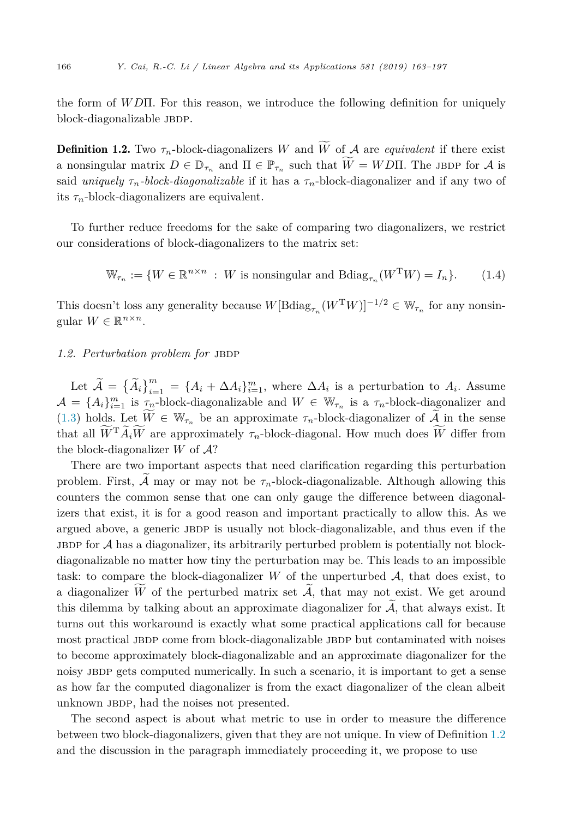<span id="page-3-0"></span>the form of *WD*Π. For this reason, we introduce the following definition for uniquely block-diagonalizable JBDP.

**Definition 1.2.** Two  $\tau_n$ -block-diagonalizers *W* and *W* of *A* are *equivalent* if there exist  $\frac{v}{2}$ a nonsingular matrix  $D \in \mathbb{D}_{\tau_n}$  and  $\Pi \in \mathbb{P}_{\tau_n}$  such that  $W = W D \Pi$ . The JBDP for A is  $\mathbf{r}$ said *uniquely*  $\tau_n$ -block-diagonalizable if it has a  $\tau_n$ -block-diagonalizer and if any two of its  $\tau_n$ -block-diagonalizers are equivalent.

To further reduce freedoms for the sake of comparing two diagonalizers, we restrict our considerations of block-diagonalizers to the matrix set:

$$
\mathbb{W}_{\tau_n} := \{ W \in \mathbb{R}^{n \times n} : W \text{ is nonsingular and Bdiag}_{\tau_n}(W^{\mathrm{T}}W) = I_n \}. \tag{1.4}
$$

This doesn't loss any generality because  $W[\text{Bdiag}_{\tau_n}(W^TW)]^{-1/2} \in \mathbb{W}_{\tau_n}$  for any nonsingular  $W \in \mathbb{R}^{n \times n}$ .

#### 1.2. Perturbation problem for JBDP

Let  $\widetilde{A} = {\{\widetilde{A}_i\}}_{i=1}^m = {A_i + \Delta A_i}_{i=1}^m$ , where  $\Delta A_i$  is a perturbation to  $A_i$ . Assume  $A = \{A_i\}_{i=1}^m$  is  $\tau_n$ -block-diagonalizable and  $W \in \mathbb{W}_{\tau_n}$  is a  $\tau_n$ -block-diagonalizer and [\(1.3\)](#page-2-0) holds. Let  $W \in \mathbb{W}_{\tau_n}$  be an approximate  $\tau_n$ -block-diagonalizer of A in the sense  $\frac{\nu}{2}$ that all  $\overline{W}^T A_i W$  are approximately  $\tau_n$ -block-diagonal. How much does  $\overline{W}$  differ from the block-diagonalizer  $W$  of  $A$ ?

There are two important aspects that need clarification regarding this perturbation problem. First,  $\tilde{A}$  may or may not be  $\tau_n$ -block-diagonalizable. Although allowing this counters the common sense that one can only gauge the difference between diagonalizers that exist, it is for a good reason and important practically to allow this. As we argued above, a generic JBDP is usually not block-diagonalizable, and thus even if the JBDP for  $A$  has a diagonalizer, its arbitrarily perturbed problem is potentially not blockdiagonalizable no matter how tiny the perturbation may be. This leads to an impossible task: to compare the block-diagonalizer  $W$  of the unperturbed  $A$ , that does exist, to a diagonalizer *W* of the perturbed matrix set  $A$ , that may not exist. We get around this dilemma by talking about an approximate diagonalizer for  $\tilde{A}$ , that always exist. It turns out this workaround is exactly what some practical applications call for because most practical JBDP come from block-diagonalizable JBDP but contaminated with noises to become approximately block-diagonalizable and an approximate diagonalizer for the noisy jbdp gets computed numerically. In such a scenario, it is important to get a sense as how far the computed diagonalizer is from the exact diagonalizer of the clean albeit unknown JBDP, had the noises not presented.

The second aspect is about what metric to use in order to measure the difference between two block-diagonalizers, given that they are not unique. In view of Definition 1.2 and the discussion in the paragraph immediately proceeding it, we propose to use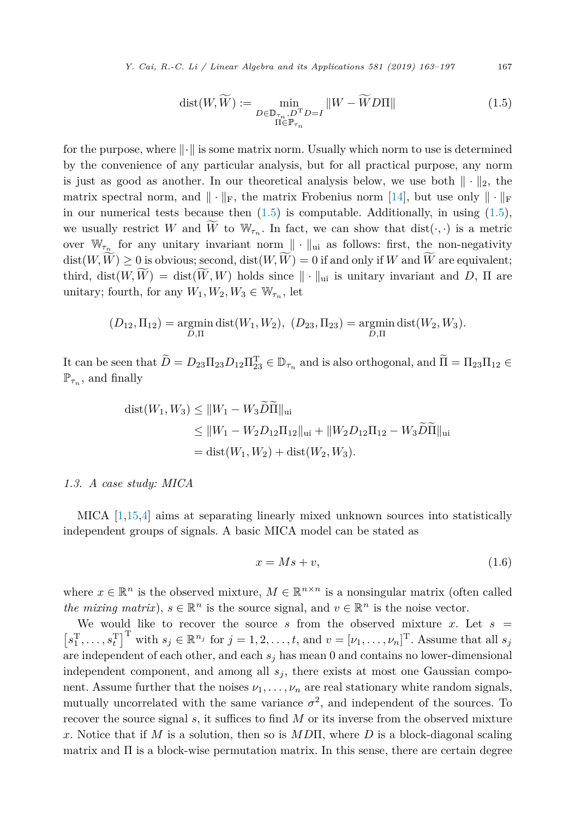<span id="page-4-0"></span>*Y. Cai, R.-C. Li / Linear Algebra and its Applications 581 (2019) 163–197* 167

$$
dist(W, \widetilde{W}) := \min_{\substack{D \in \mathbb{D}_{\tau_n}, D^{\mathrm{T}} D = I \\ \Pi \in \mathbb{P}_{\tau_n}}} \|W - \widetilde{W} D \Pi\| \tag{1.5}
$$

for the purpose, where  $\|\cdot\|$  is some matrix norm. Usually which norm to use is determined by the convenience of any particular analysis, but for all practical purpose, any norm is just as good as another. In our theoretical analysis below, we use both  $\|\cdot\|_2$ , the matrix spectral norm, and  $\|\cdot\|_{\text{F}}$ , the matrix Frobenius norm [\[14\]](#page-33-0), but use only  $\|\cdot\|_{\text{F}}$ in our numerical tests because then  $(1.5)$  is computable. Additionally, in using  $(1.5)$ , we usually restrict *W* and *W* to  $W_{\tau_n}$ . In fact, we can show that dist( $\cdot$ , $\cdot$ ) is a metric over  $\mathbb{W}_{\tau_n}$  for any unitary invariant norm  $\|\cdot\|_{\text{ui}}$  as follows: first, the non-negativity  $dist(W, W) \geq 0$  is obvious; second,  $dist(W, W) = 0$  if and only if *W* and *W* are equivalent; third,  $dist(W, W) = dist(W, W)$  holds since  $\|\cdot\|_{\text{ui}}$  is unitary invariant and *D*,  $\Pi$  are unitary; fourth, for any  $W_1, W_2, W_3 \in W_{\tau_n}$ , let

$$
(D_{12}, \Pi_{12})
$$
 = argmin dist $(W_1, W_2)$ ,  $(D_{23}, \Pi_{23})$  = argmin dist $(W_2, W_3)$ .  
<sub>D,\Pi</sub>

It can be seen that  $D = D_{23} \Pi_{23} D_{12} \Pi_{23}^T \in \mathbb{D}_{\tau_n}$  and is also orthogonal, and  $\Pi = \Pi_{23} \Pi_{12} \in \mathbb{D}_{\tau_n}$  $\mathbb{P}_{\tau_n}$ , and finally

dist(
$$
W_1, W_3
$$
)  $\leq$   $||W_1 - W_3 \widetilde{D}\widetilde{H}||_{\text{ui}}$   
\n $\leq$   $||W_1 - W_2 D_{12} \Pi_{12}||_{\text{ui}} + ||W_2 D_{12} \Pi_{12} - W_3 \widetilde{D}\widetilde{H}||_{\text{ui}}$   
\n $=$ dist( $W_1, W_2$ ) + dist( $W_2, W_3$ ).

#### *1.3. A case study: MICA*

MICA [\[1,15,4\]](#page-33-0) aims at separating linearly mixed unknown sources into statistically independent groups of signals. A basic MICA model can be stated as

$$
x = Ms + v,\tag{1.6}
$$

where  $x \in \mathbb{R}^n$  is the observed mixture,  $M \in \mathbb{R}^{n \times n}$  is a nonsingular matrix (often called *the mixing matrix*),  $s \in \mathbb{R}^n$  is the source signal, and  $v \in \mathbb{R}^n$  is the noise vector.

We would like to recover the source  $s$  from the observed mixture  $x$ . Let  $s =$  $[s_1^T, \ldots, s_t^T]^T$  with  $s_j \in \mathbb{R}^{n_j}$  for  $j = 1, 2, \ldots, t$ , and  $v = [\nu_1, \ldots, \nu_n]^T$ . Assume that all  $s_j$ are independent of each other, and each  $s_j$  has mean 0 and contains no lower-dimensional independent component, and among all  $s_j$ , there exists at most one Gaussian component. Assume further that the noises  $\nu_1, \ldots, \nu_n$  are real stationary white random signals, mutually uncorrelated with the same variance  $\sigma^2$ , and independent of the sources. To recover the source signal *s*, it suffices to find *M* or its inverse from the observed mixture *x*. Notice that if *M* is a solution, then so is *MD*Π, where *D* is a block-diagonal scaling matrix and  $\Pi$  is a block-wise permutation matrix. In this sense, there are certain degree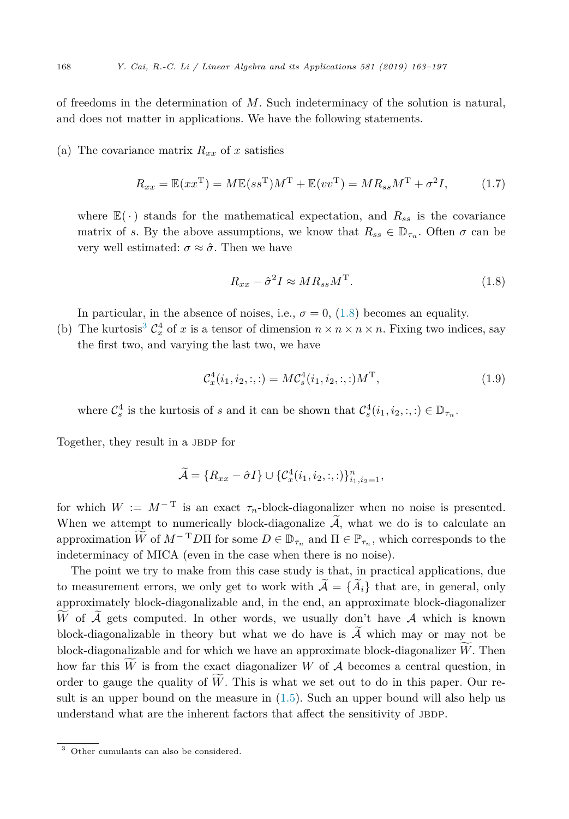of freedoms in the determination of *M*. Such indeterminacy of the solution is natural, and does not matter in applications. We have the following statements.

#### (a) The covariance matrix  $R_{xx}$  of x satisfies

$$
R_{xx} = \mathbb{E}(xx^{\mathrm{T}}) = M\mathbb{E}(ss^{\mathrm{T}})M^{\mathrm{T}} + \mathbb{E}(vv^{\mathrm{T}}) = MR_{ss}M^{\mathrm{T}} + \sigma^2 I,\tag{1.7}
$$

where  $\mathbb{E}(\cdot)$  stands for the mathematical expectation, and  $R_{ss}$  is the covariance matrix of *s*. By the above assumptions, we know that  $R_{ss} \in \mathbb{D}_{\tau_s}$ . Often  $\sigma$  can be very well estimated:  $\sigma \approx \hat{\sigma}$ . Then we have

$$
R_{xx} - \hat{\sigma}^2 I \approx MR_{ss}M^{\mathrm{T}}.
$$
\n(1.8)

In particular, in the absence of noises, i.e.,  $\sigma = 0$ , (1.8) becomes an equality.

(b) The kurtosis<sup>3</sup>  $C_x^4$  of *x* is a tensor of dimension  $n \times n \times n \times n$ . Fixing two indices, say the first two, and varying the last two, we have

$$
\mathcal{C}_x^4(i_1, i_2, :, :) = MC_s^4(i_1, i_2, :, :)M^{\mathrm{T}},\tag{1.9}
$$

where  $C_s^4$  is the kurtosis of *s* and it can be shown that  $C_s^4(i_1, i_2, :, :) \in \mathbb{D}_{\tau_n}$ .

Together, they result in a JBDP for

$$
\widetilde{\mathcal{A}} = \{R_{xx} - \hat{\sigma}I\} \cup \{\mathcal{C}^4_x(i_1, i_2, :, :)\}_{i_1, i_2 = 1}^n,
$$

for which  $W := M^{-T}$  is an exact  $\tau_n$ -block-diagonalizer when no noise is presented. When we attempt to numerically block-diagonalize  $\widetilde{A}$ , what we do is to calculate an approximation  $\overline{W}$  of  $M^{-T}D\Pi$  for some  $D \in \mathbb{D}_{\tau_n}$  and  $\Pi \in \mathbb{P}_{\tau_n}$ , which corresponds to the indeterminacy of MICA (even in the case when there is no noise).

The point we try to make from this case study is that, in practical applications, due to measurement errors, we only get to work with  $\widetilde{\mathcal{A}} = {\widetilde{A}}_i$  that are, in general, only approximately block-diagonalizable and, in the end, an approximate block-diagonalizer W of A gets computed. In other words, we usually don't have A which is known block-diagonalizable in theory but what we do have is  $\tilde{\mathcal{A}}$  which may or may not be block-diagonalizable and for which we have an approximate block-diagonalizer *W*. Then how far this *W* is from the exact diagonalizer *W* of *A* becomes a central question, in order to gauge the quality of *W*. This is what we set out to do in this paper. Our result is an upper bound on the measure in [\(1.5\)](#page-4-0). Such an upper bound will also help us understand what are the inherent factors that affect the sensitivity of JBDP.

<sup>3</sup> Other cumulants can also be considered.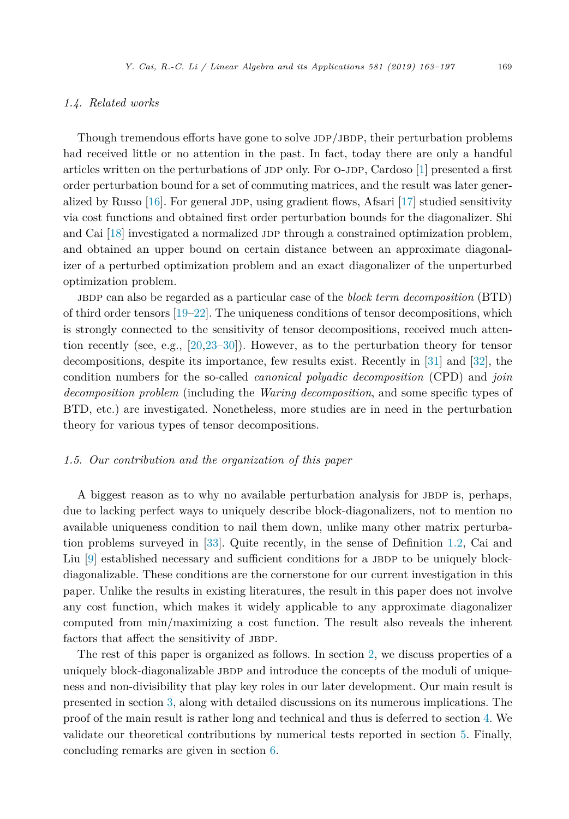#### *1.4. Related works*

Though tremendous efforts have gone to solve JDP/JBDP, their perturbation problems had received little or no attention in the past. In fact, today there are only a handful articles written on the perturbations of JDP only. For  $\sigma$ -JDP, Cardoso [\[1\]](#page-33-0) presented a first order perturbation bound for a set of commuting matrices, and the result was later generalized by Russo  $[16]$ . For general JDP, using gradient flows, Afsari  $[17]$  studied sensitivity via cost functions and obtained first order perturbation bounds for the diagonalizer. Shi and Cai  $[18]$  investigated a normalized JDP through a constrained optimization problem, and obtained an upper bound on certain distance between an approximate diagonalizer of a perturbed optimization problem and an exact diagonalizer of the unperturbed optimization problem.

jbdp can also be regarded as a particular case of the *block term decomposition* (BTD) of third order tensors [\[19–](#page-33-0)[22\]](#page-34-0). The uniqueness conditions of tensor decompositions, which is strongly connected to the sensitivity of tensor decompositions, received much attention recently (see, e.g., [\[20,23–30\]](#page-34-0)). However, as to the perturbation theory for tensor decompositions, despite its importance, few results exist. Recently in [\[31\]](#page-34-0) and [\[32\]](#page-34-0), the condition numbers for the so-called *canonical polyadic decomposition* (CPD) and *join decomposition problem* (including the *Waring decomposition*, and some specific types of BTD, etc.) are investigated. Nonetheless, more studies are in need in the perturbation theory for various types of tensor decompositions.

#### *1.5. Our contribution and the organization of this paper*

A biggest reason as to why no available perturbation analysis for JBDP is, perhaps, due to lacking perfect ways to uniquely describe block-diagonalizers, not to mention no available uniqueness condition to nail them down, unlike many other matrix perturbation problems surveyed in [\[33\]](#page-34-0). Quite recently, in the sense of Definition [1.2,](#page-3-0) Cai and Liu  $[9]$  established necessary and sufficient conditions for a JBDP to be uniquely blockdiagonalizable. These conditions are the cornerstone for our current investigation in this paper. Unlike the results in existing literatures, the result in this paper does not involve any cost function, which makes it widely applicable to any approximate diagonalizer computed from min/maximizing a cost function. The result also reveals the inherent factors that affect the sensitivity of JBDP.

The rest of this paper is organized as follows. In section [2,](#page-7-0) we discuss properties of a uniquely block-diagonalizable JBDP and introduce the concepts of the moduli of uniqueness and non-divisibility that play key roles in our later development. Our main result is presented in section [3,](#page-12-0) along with detailed discussions on its numerous implications. The proof of the main result is rather long and technical and thus is deferred to section [4.](#page-18-0) We validate our theoretical contributions by numerical tests reported in section [5.](#page-28-0) Finally, concluding remarks are given in section [6.](#page-32-0)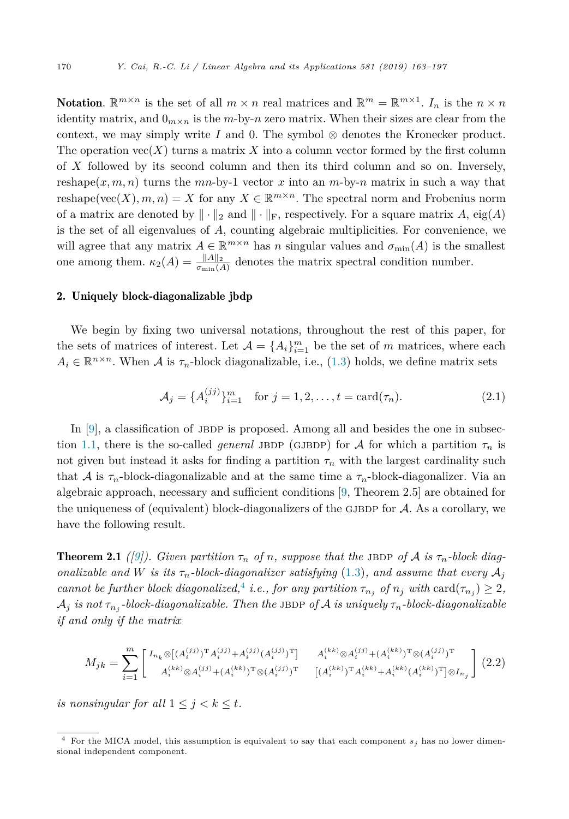<span id="page-7-0"></span>**Notation.**  $\mathbb{R}^{m \times n}$  is the set of all  $m \times n$  real matrices and  $\mathbb{R}^m = \mathbb{R}^{m \times 1}$ .  $I_n$  is the  $n \times n$ identity matrix, and  $0_{m \times n}$  is the *m*-by-*n* zero matrix. When their sizes are clear from the context, we may simply write  $I$  and 0. The symbol  $\otimes$  denotes the Kronecker product. The operation  $\text{vec}(X)$  turns a matrix X into a column vector formed by the first column of *X* followed by its second column and then its third column and so on. Inversely, reshape( $x, m, n$ ) turns the  $mn$ -by-1 vector  $x$  into an  $m$ -by- $n$  matrix in such a way that reshape(vec(*X*),  $m, n$ ) = *X* for any  $X \in \mathbb{R}^{m \times n}$ . The spectral norm and Frobenius norm of a matrix are denoted by  $\|\cdot\|_2$  and  $\|\cdot\|_F$ , respectively. For a square matrix A, eig(A) is the set of all eigenvalues of *A*, counting algebraic multiplicities. For convenience, we will agree that any matrix  $A \in \mathbb{R}^{m \times n}$  has *n* singular values and  $\sigma_{\min}(A)$  is the smallest one among them.  $\kappa_2(A) = \frac{\|A\|_2}{\sigma_{\min}(A)}$  denotes the matrix spectral condition number.

#### 2. Uniquely block-diagonalizable jbdp

We begin by fixing two universal notations, throughout the rest of this paper, for the sets of matrices of interest. Let  $\mathcal{A} = \{A_i\}_{i=1}^m$  be the set of *m* matrices, where each  $A_i \in \mathbb{R}^{n \times n}$ . When A is  $\tau_n$ -block diagonalizable, i.e., [\(1.3\)](#page-2-0) holds, we define matrix sets

$$
\mathcal{A}_j = \{ A_i^{(jj)} \}_{i=1}^m \quad \text{for } j = 1, 2, \dots, t = \text{card}(\tau_n). \tag{2.1}
$$

In  $[9]$ , a classification of JBDP is proposed. Among all and besides the one in subsec-tion [1.1,](#page-1-0) there is the so-called *general* JBDP (GJBDP) for A for which a partition  $\tau_n$  is not given but instead it asks for finding a partition  $\tau_n$  with the largest cardinality such that A is  $\tau_n$ -block-diagonalizable and at the same time a  $\tau_n$ -block-diagonalizer. Via an algebraic approach, necessary and sufficient conditions [\[9,](#page-33-0) Theorem 2.5] are obtained for the uniqueness of (equivalent) block-diagonalizers of the GJBDP for  $A$ . As a corollary, we have the following result.

**Theorem 2.1** ([\[9\]](#page-33-0)). Given partition  $\tau_n$  of n, suppose that the JBDP of A is  $\tau_n$ -block diag*onalizable* and *W is its*  $\tau_n$ *-block-diagonalizer satisfying* [\(1.3\)](#page-2-0)*,* and assume that every  $A_i$ cannot be further block diagonalized,<sup>4</sup> i.e., for any partition  $\tau_{n_j}$  of  $n_j$  with  $\text{card}(\tau_{n_j}) \geq 2$ ,  $A_j$  *is* not  $\tau_{n_j}$ -block-diagonalizable. Then the JBDP of A *is uniquely*  $\tau_n$ -block-diagonalizable *if and only if the matrix*

$$
M_{jk} = \sum_{i=1}^{m} \begin{bmatrix} I_{n_k} \otimes [(A_i^{(jj)})^T A_i^{(jj)} + A_i^{(jj)} (A_i^{(jj)})^T] & A_i^{(kk)} \otimes A_i^{(jj)} + (A_i^{(kk)})^T \otimes (A_i^{(jj)})^T \\ A_i^{(kk)} \otimes A_i^{(jj)} + (A_i^{(kk)})^T \otimes (A_i^{(jj)})^T & [(A_i^{(kk)})^T A_i^{(kk)} + A_i^{(kk)} (A_i^{(kk)})^T] \otimes I_{n_j} \end{bmatrix} (2.2)
$$

*is* nonsingular for all  $1 \leq j \leq k \leq t$ .

For the MICA model, this assumption is equivalent to say that each component  $s_j$  has no lower dimensional independent component.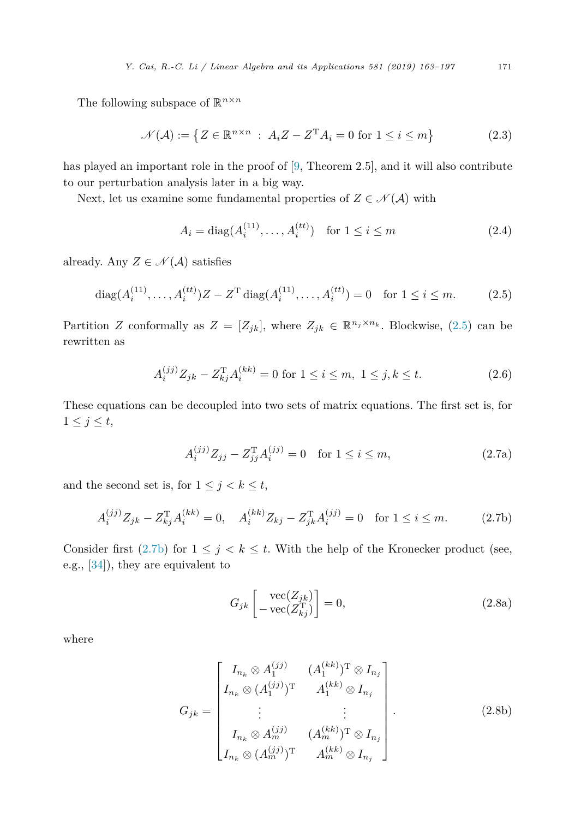<span id="page-8-0"></span>The following subspace of  $\mathbb{R}^{n \times n}$ 

$$
\mathcal{N}(\mathcal{A}) := \{ Z \in \mathbb{R}^{n \times n} : A_i Z - Z^{\mathrm{T}} A_i = 0 \text{ for } 1 \le i \le m \}
$$
 (2.3)

has played an important role in the proof of [\[9,](#page-33-0) Theorem 2.5], and it will also contribute to our perturbation analysis later in a big way.

Next, let us examine some fundamental properties of  $Z \in \mathcal{N}(\mathcal{A})$  with

$$
A_i = \text{diag}(A_i^{(11)}, \dots, A_i^{(tt)}) \quad \text{for } 1 \le i \le m \tag{2.4}
$$

already. Any  $Z \in \mathcal{N}(\mathcal{A})$  satisfies

$$
\text{diag}(A_i^{(11)}, \dots, A_i^{(tt)})Z - Z^{\text{T}}\text{diag}(A_i^{(11)}, \dots, A_i^{(tt)}) = 0 \quad \text{for } 1 \le i \le m. \tag{2.5}
$$

Partition *Z* conformally as  $Z = [Z_{jk}]$ , where  $Z_{jk} \in \mathbb{R}^{n_j \times n_k}$ . Blockwise, (2.5) can be rewritten as

$$
A_i^{(jj)} Z_{jk} - Z_{kj}^{\mathrm{T}} A_i^{(kk)} = 0 \text{ for } 1 \le i \le m, \ 1 \le j, k \le t. \tag{2.6}
$$

These equations can be decoupled into two sets of matrix equations. The first set is, for  $1 \leq j \leq t$ ,

$$
A_i^{(jj)} Z_{jj} - Z_{jj}^{\mathrm{T}} A_i^{(jj)} = 0 \quad \text{for } 1 \le i \le m,
$$
 (2.7a)

and the second set is, for  $1 \leq j \leq k \leq t$ ,

$$
A_i^{(jj)} Z_{jk} - Z_{kj}^{\mathrm{T}} A_i^{(kk)} = 0, \quad A_i^{(kk)} Z_{kj} - Z_{jk}^{\mathrm{T}} A_i^{(jj)} = 0 \quad \text{for } 1 \le i \le m. \tag{2.7b}
$$

Consider first (2.7b) for  $1 \leq j \leq k \leq t$ . With the help of the Kronecker product (see, e.g., [\[34\]](#page-34-0)), they are equivalent to

$$
G_{jk}\begin{bmatrix} \text{vec}(Z_{jk})\\ -\text{vec}(Z_{kj}^{\mathrm{T}}) \end{bmatrix} = 0, \tag{2.8a}
$$

where

$$
G_{jk} = \begin{bmatrix} I_{n_k} \otimes A_1^{(jj)} & (A_1^{(kk)})^{\mathrm{T}} \otimes I_{n_j} \\ I_{n_k} \otimes (A_1^{(jj)})^{\mathrm{T}} & A_1^{(kk)} \otimes I_{n_j} \\ \vdots & \vdots \\ I_{n_k} \otimes A_m^{(jj)} & (A_m^{(kk)})^{\mathrm{T}} \otimes I_{n_j} \\ I_{n_k} \otimes (A_m^{(jj)})^{\mathrm{T}} & A_m^{(kk)} \otimes I_{n_j} \end{bmatrix} . \tag{2.8b}
$$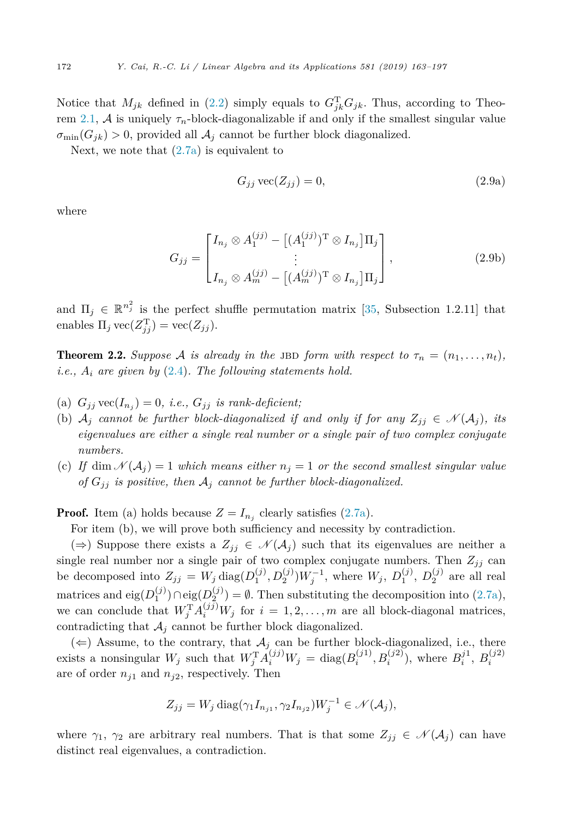<span id="page-9-0"></span>Notice that  $M_{jk}$  defined in [\(2.2\)](#page-7-0) simply equals to  $G_{jk}^{\mathrm{T}}G_{jk}$ . Thus, according to Theo-rem [2.1,](#page-7-0) A is uniquely  $\tau_n$ -block-diagonalizable if and only if the smallest singular value  $\sigma_{\min}(G_{jk}) > 0$ , provided all  $\mathcal{A}_j$  cannot be further block diagonalized.

Next, we note that  $(2.7a)$  is equivalent to

$$
G_{jj}\,\text{vec}(Z_{jj}) = 0,\tag{2.9a}
$$

where

$$
G_{jj} = \begin{bmatrix} I_{n_j} \otimes A_1^{(jj)} - [(A_1^{(jj)})^T \otimes I_{n_j}] \Pi_j \\ \vdots \\ I_{n_j} \otimes A_m^{(jj)} - [(A_m^{(jj)})^T \otimes I_{n_j}] \Pi_j \end{bmatrix},
$$
(2.9b)

and  $\Pi_j \in \mathbb{R}^{n_j^2}$  is the perfect shuffle permutation matrix [\[35,](#page-34-0) Subsection 1.2.11] that enables  $\Pi_j \text{vec}(Z_{jj}^{\text{T}}) = \text{vec}(Z_{jj}).$ 

**Theorem 2.2.** Suppose A is already in the JBD form with respect to  $\tau_n = (n_1, \ldots, n_t)$ , *i.e., A<sup>i</sup> are given by* [\(2.4\)](#page-8-0)*. The following statements hold.*

- (a)  $G_{jj}$  vec( $I_{n_j}$ ) = 0, *i.e.*,  $G_{jj}$  *is rank-deficient;*
- (b)  $\mathcal{A}_i$  cannot be further block-diagonalized if and only if for any  $Z_{ij} \in \mathcal{N}(\mathcal{A}_i)$ , its *eigenvalues are either a single real number or a single pair of two complex conjugate numbers.*
- (c) If  $\dim \mathcal{N}(A_i) = 1$  which means either  $n_i = 1$  or the second smallest singular value *of*  $G_{ij}$  *is positive, then*  $A_j$  *cannot be further block-diagonalized.*

**Proof.** Item (a) holds because  $Z = I_{n_i}$  clearly satisfies [\(2.7a\)](#page-8-0).

For item (b), we will prove both sufficiency and necessity by contradiction.

(⇒) Suppose there exists a  $Z_{ij}$  ∈  $\mathcal{N}(\mathcal{A}_i)$  such that its eigenvalues are neither a single real number nor a single pair of two complex conjugate numbers. Then  $Z_{jj}$  can be decomposed into  $Z_{jj} = W_j \text{diag}(D_1^{(j)}, D_2^{(j)})W_j^{-1}$ , where  $W_j$ ,  $D_1^{(j)}$ ,  $D_2^{(j)}$  are all real matrices and eig( $D_1^{(j)}$ )∩eig( $D_2^{(j)}$ ) = ∅. Then substituting the decomposition into [\(2.7a\)](#page-8-0), we can conclude that  $W_j^{\mathrm{T}} A_i^{(jj)} W_j$  for  $i = 1, 2, ..., m$  are all block-diagonal matrices, contradicting that  $A_j$  cannot be further block diagonalized.

(←) Assume, to the contrary, that  $A_j$  can be further block-diagonalized, i.e., there exists a nonsingular  $W_j$  such that  $W_j^{\mathrm{T}} A_i^{(jj)} W_j = \text{diag}(B_i^{(j1)}, B_i^{(j2)})$ , where  $B_i^{j1}, B_i^{(j2)}$ are of order  $n_{j1}$  and  $n_{j2}$ , respectively. Then

$$
Z_{jj} = W_j \operatorname{diag}(\gamma_1 I_{n_{j1}}, \gamma_2 I_{n_{j2}}) W_j^{-1} \in \mathcal{N}(\mathcal{A}_j),
$$

where  $\gamma_1$ ,  $\gamma_2$  are arbitrary real numbers. That is that some  $Z_{ij} \in \mathcal{N}(\mathcal{A}_i)$  can have distinct real eigenvalues, a contradiction.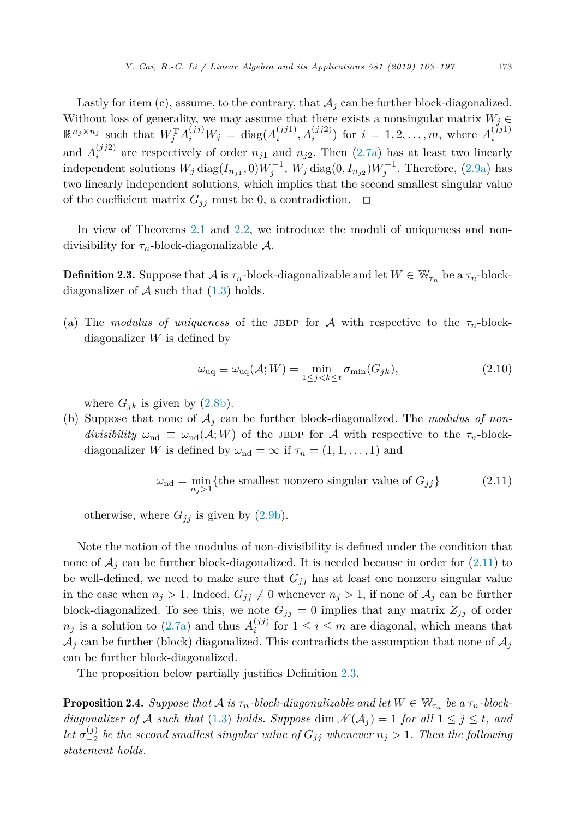<span id="page-10-0"></span>Lastly for item  $(c)$ , assume, to the contrary, that  $A_j$  can be further block-diagonalized. Without loss of generality, we may assume that there exists a nonsingular matrix  $W_j \in$  $\mathbb{R}^{n_j \times n_j}$  such that  $W_j^{\mathrm{T}} A_i^{(jj)} W_j = \text{diag}(A_i^{(jj1)}, A_i^{(jj2)})$  for  $i = 1, 2, ..., m$ , where  $A_i^{(jj1)}$ and  $A_i^{(jj2)}$  are respectively of order  $n_{j1}$  and  $n_{j2}$ . Then [\(2.7a\)](#page-8-0) has at least two linearly independent solutions  $W_j \text{ diag}(I_{n_{j1}}, 0)W_j^{-1}$ ,  $W_j \text{ diag}(0, I_{n_{j2}})W_j^{-1}$ . Therefore, [\(2.9a\)](#page-9-0) has two linearly independent solutions, which implies that the second smallest singular value of the coefficient matrix  $G_{ij}$  must be 0, a contradiction.  $\Box$ 

In view of Theorems [2.1](#page-7-0) and [2.2,](#page-9-0) we introduce the moduli of uniqueness and nondivisibility for *τn*-block-diagonalizable A.

**Definition 2.3.** Suppose that  $\mathcal A$  is  $\tau_n$ -block-diagonalizable and let  $W \in \mathbb W_{\tau_n}$  be a  $\tau_n$ -blockdiagonalizer of  $A$  such that  $(1.3)$  holds.

(a) The *modulus* of *uniqueness* of the JBDP for A with respective to the  $\tau_n$ -blockdiagonalizer *W* is defined by

$$
\omega_{\text{uq}} \equiv \omega_{\text{uq}}(\mathcal{A}; W) = \min_{1 \le j < k \le t} \sigma_{\min}(G_{jk}),\tag{2.10}
$$

where  $G_{jk}$  is given by  $(2.8b)$ .

(b) Suppose that none of  $A_j$  can be further block-diagonalized. The *modulus* of non*divisibility*  $\omega_{\text{nd}} \equiv \omega_{\text{nd}}(\mathcal{A}; W)$  of the JBDP for A with respective to the  $\tau_n$ -blockdiagonalizer *W* is defined by  $\omega_{\text{nd}} = \infty$  if  $\tau_n = (1, 1, \ldots, 1)$  and

$$
\omega_{\rm nd} = \min_{n_j > 1} \{ \text{the smallest nonzero singular value of } G_{jj} \} \tag{2.11}
$$

otherwise, where  $G_{jj}$  is given by  $(2.9b)$ .

Note the notion of the modulus of non-divisibility is defined under the condition that none of  $A_i$  can be further block-diagonalized. It is needed because in order for  $(2.11)$  to be well-defined, we need to make sure that  $G_{ij}$  has at least one nonzero singular value in the case when  $n_j > 1$ . Indeed,  $G_{ij} \neq 0$  whenever  $n_j > 1$ , if none of  $A_j$  can be further block-diagonalized. To see this, we note  $G_{jj} = 0$  implies that any matrix  $Z_{jj}$  of order  $n_j$  is a solution to [\(2.7a\)](#page-8-0) and thus  $A_i^{(jj)}$  for  $1 \leq i \leq m$  are diagonal, which means that  $\mathcal{A}_i$  can be further (block) diagonalized. This contradicts the assumption that none of  $\mathcal{A}_i$ can be further block-diagonalized.

The proposition below partially justifies Definition 2.3.

**Proposition 2.4.** *Suppose that*  $A$  *is*  $\tau_n$ *-block-diagonalizable and let*  $W \in \mathbb{W}_{\tau_n}$  *be*  $a \tau_n$ *-blockdiagonalizer of* A *such that* [\(1.3\)](#page-2-0) *holds. Suppose* dim  $\mathcal{N}(\mathcal{A}_i) = 1$  *for all*  $1 \leq j \leq t$ *, and* let  $\sigma_{-2}^{(j)}$  be the second smallest singular value of  $G_{jj}$  whenever  $n_j > 1$ . Then the following *statement holds.*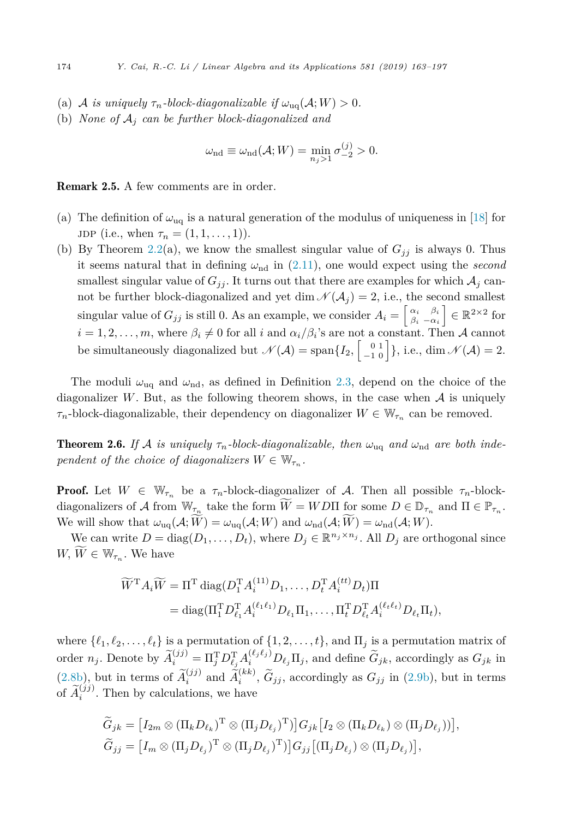- (a) A *is uniquely*  $\tau_n$ -block-diagonalizable if  $\omega_{\text{uq}}(\mathcal{A}; W) > 0$ .
- (b) *None* of  $A_i$  *can* be further block-diagonalized and

$$
\omega_{\rm nd} \equiv \omega_{\rm nd}(\mathcal{A}; W) = \min_{n_j > 1} \sigma_{-2}^{(j)} > 0.
$$

Remark 2.5. A few comments are in order.

- (a) The definition of  $\omega_{\text{uq}}$  is a natural generation of the modulus of uniqueness in [\[18\]](#page-33-0) for  $JDP$  (i.e., when  $\tau_n = (1, 1, \ldots, 1)$ ).
- (b) By Theorem [2.2\(](#page-9-0)a), we know the smallest singular value of  $G_{jj}$  is always 0. Thus it seems natural that in defining  $\omega_{\rm nd}$  in [\(2.11\)](#page-10-0), one would expect using the *second* smallest singular value of  $G_{jj}$ . It turns out that there are examples for which  $\mathcal{A}_j$  cannot be further block-diagonalized and yet dim  $\mathcal{N}(\mathcal{A}_j) = 2$ , i.e., the second smallest singular value of  $G_{jj}$  is still 0. As an example, we consider  $A_i = \begin{bmatrix} \alpha_i & \beta_i \\ \beta_i & -\alpha_i \end{bmatrix}$ *β<sup>i</sup>* −*α<sup>i</sup>*  $\Big] \in \mathbb{R}^{2 \times 2}$  for  $i = 1, 2, \ldots, m$ , where  $\beta_i \neq 0$  for all *i* and  $\alpha_i/\beta_i$ 's are not a constant. Then A cannot be simultaneously diagonalized but  $\mathcal{N}(\mathcal{A}) = \text{span}\{I_2, \begin{bmatrix} 0 & 1 \\ -1 & 0 \end{bmatrix}\},\$ i.e., dim  $\mathcal{N}(\mathcal{A}) = 2$ .

The moduli  $\omega_{\text{uq}}$  and  $\omega_{\text{nd}}$ , as defined in Definition [2.3,](#page-10-0) depend on the choice of the diagonalizer *W*. But, as the following theorem shows, in the case when  $A$  is uniquely  $\tau_n$ -block-diagonalizable, their dependency on diagonalizer  $W \in \mathbb{W}_{\tau_n}$  can be removed.

**Theorem 2.6.** If A is uniquely  $\tau_n$ -block-diagonalizable, then  $\omega_{\text{ua}}$  and  $\omega_{\text{nd}}$  are both inde*pendent of the choice of diagonalizers*  $W \in \mathbb{W}_{\tau_n}$ .

**Proof.** Let  $W \in \mathbb{W}_{\tau_n}$  be a  $\tau_n$ -block-diagonalizer of A. Then all possible  $\tau_n$ -blockdiagonalizers of A from  $W_{\tau_n}$  take the form  $W = W D \Pi$  for some  $D \in \mathbb{D}_{\tau_n}$  and  $\Pi \in \mathbb{P}_{\tau_n}$ . We will show that  $\omega_{\text{uq}}(\mathcal{A}; W) = \omega_{\text{uq}}(\mathcal{A}; W)$  and  $\omega_{\text{nd}}(\mathcal{A}; W) = \omega_{\text{nd}}(\mathcal{A}; W)$ .

We can write  $D = \text{diag}(D_1, \ldots, D_t)$ , where  $D_j \in \mathbb{R}^{n_j \times n_j}$ . All  $D_j$  are orthogonal since  $W, W \in \mathbb{W}_{\tau_n}$ . We have

$$
\widetilde{W}^{\mathrm{T}}A_i\widetilde{W} = \Pi^{\mathrm{T}} \operatorname{diag}(D_1^{\mathrm{T}}A_i^{(11)}D_1,\ldots,D_t^{\mathrm{T}}A_i^{(tt)}D_t)\Pi
$$
  
= diag(\Pi\_1^{\mathrm{T}}D\_{\ell\_1}^{\mathrm{T}}A\_i^{(\ell\_1\ell\_1)}D\_{\ell\_1}\Pi\_1,\ldots,\Pi\_t^{\mathrm{T}}D\_{\ell\_t}^{\mathrm{T}}A\_i^{(\ell\_t\ell\_t)}D\_{\ell\_t}\Pi\_t),

where  $\{\ell_1, \ell_2, \ldots, \ell_t\}$  is a permutation of  $\{1, 2, \ldots, t\}$ , and  $\Pi_j$  is a permutation matrix of order  $n_j$ . Denote by  $\widetilde{A}_i^{(jj)} = \Pi_j^{\mathrm{T}} D_{\ell_j}^{\mathrm{T}} A_i^{(\ell_j \ell_j)} D_{\ell_j} \Pi_j$ , and define  $\widetilde{G}_{jk}$ , accordingly as  $G_{jk}$  in [\(2.8b\)](#page-8-0), but in terms of  $\widetilde{A}_i^{(jj)}$  and  $\widetilde{A}_i^{(kk)}$ ,  $\widetilde{G}_{jj}$ , accordingly as  $G_{jj}$  in [\(2.9b\)](#page-9-0), but in terms of  $\widetilde{A}_i^{(jj)}$ . Then by calculations, we have

$$
\widetilde{G}_{jk} = [I_{2m} \otimes (\Pi_k D_{\ell_k})^{\mathrm{T}} \otimes (\Pi_j D_{\ell_j})^{\mathrm{T}})] G_{jk} [I_2 \otimes (\Pi_k D_{\ell_k}) \otimes (\Pi_j D_{\ell_j}))],
$$
  
\n
$$
\widetilde{G}_{jj} = [I_m \otimes (\Pi_j D_{\ell_j})^{\mathrm{T}} \otimes (\Pi_j D_{\ell_j})^{\mathrm{T}})] G_{jj} [(\Pi_j D_{\ell_j}) \otimes (\Pi_j D_{\ell_j})],
$$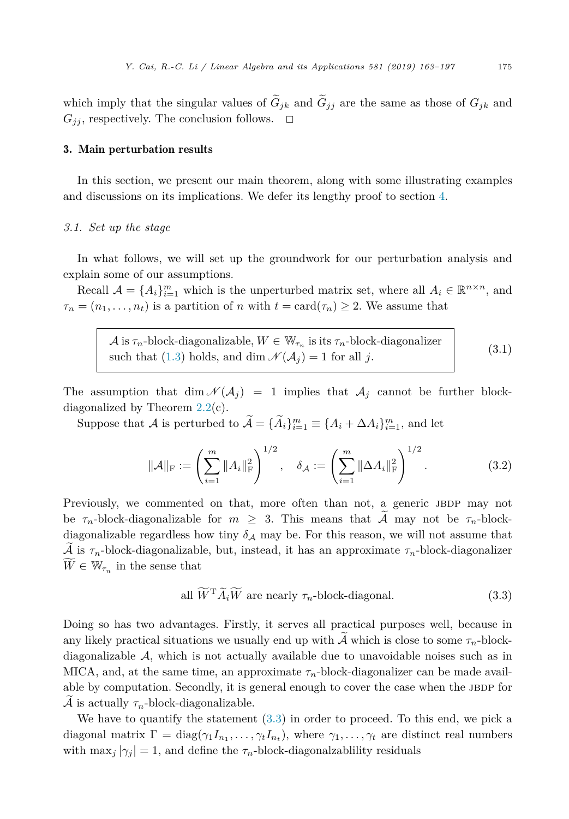<span id="page-12-0"></span>which imply that the singular values of  $\tilde{G}_{jk}$  and  $\tilde{G}_{jj}$  are the same as those of  $G_{jk}$  and  $G_{ij}$ , respectively. The conclusion follows.  $\Box$ 

#### 3. Main perturbation results

In this section, we present our main theorem, along with some illustrating examples and discussions on its implications. We defer its lengthy proof to section [4.](#page-18-0)

#### *3.1. Set up the stage*

In what follows, we will set up the groundwork for our perturbation analysis and explain some of our assumptions.

Recall  $\mathcal{A} = \{A_i\}_{i=1}^m$  which is the unperturbed matrix set, where all  $A_i \in \mathbb{R}^{n \times n}$ , and  $\tau_n = (n_1, \ldots, n_t)$  is a partition of *n* with  $t = \text{card}(\tau_n) \geq 2$ . We assume that

 $\mathcal A$  is  $\tau_n$ -block-diagonalizable,  $W \in \mathbb W_{\tau_n}$  is its  $\tau_n$ -block-diagonalizer<br>such that [\(1.3\)](#page-2-0) holds, and dim  $\mathcal N(\mathcal A_j) = 1$  for all *j*. (3.1)

The assumption that  $\dim \mathcal{N}(A_j) = 1$  implies that  $A_j$  cannot be further blockdiagonalized by Theorem [2.2\(](#page-9-0)c).

Suppose that A is perturbed to  $\mathcal{A} = {\hat{A}_i}_{i=1}^m \equiv {\hat{A}_i + \Delta A_i}_{i=1}^m$ , and let

$$
\|\mathcal{A}\|_{\mathrm{F}} := \left(\sum_{i=1}^{m} \|A_i\|_{\mathrm{F}}^2\right)^{1/2}, \quad \delta_{\mathcal{A}} := \left(\sum_{i=1}^{m} \|\Delta A_i\|_{\mathrm{F}}^2\right)^{1/2}.
$$
 (3.2)

Previously, we commented on that, more often than not, a generic JBDP may not be  $\tau_n$ -block-diagonalizable for  $m \geq 3$ . This means that  $\tilde{A}$  may not be  $\tau_n$ -blockdiagonalizable regardless how tiny  $\delta_A$  may be. For this reason, we will not assume that  $\mathcal A$  is  $\tau_n$ -block-diagonalizable, but, instead, it has an approximate  $\tau_n$ -block-diagonalizer  $W \in W_{\tau_n}$  in the sense that

all 
$$
\widetilde{W}^{\mathrm{T}}\widetilde{A}_i\widetilde{W}
$$
 are nearly  $\tau_n$ -block-diagonal. (3.3)

Doing so has two advantages. Firstly, it serves all practical purposes well, because in any likely practical situations we usually end up with A which is close to some  $\tau_n$ -blockdiagonalizable A, which is not actually available due to unavoidable noises such as in MICA, and, at the same time, an approximate  $\tau_n$ -block-diagonalizer can be made available by computation. Secondly, it is general enough to cover the case when the JBDP for A is actually  $\tau_n$ -block-diagonalizable.

We have to quantify the statement (3.3) in order to proceed. To this end, we pick a diagonal matrix  $\Gamma = \text{diag}(\gamma_1 I_{n_1}, \dots, \gamma_t I_{n_t}),$  where  $\gamma_1, \dots, \gamma_t$  are distinct real numbers with  $\max_j |\gamma_j| = 1$ , and define the  $\tau_n$ -block-diagonalzability residuals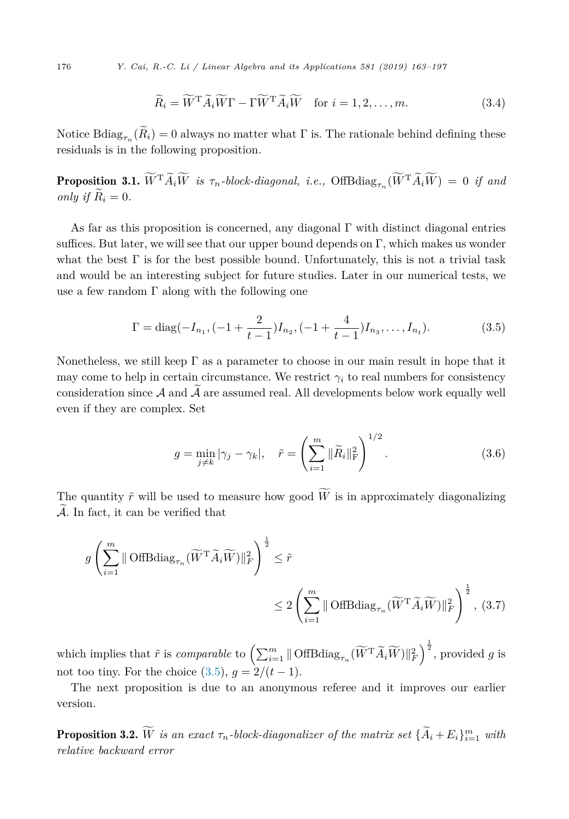<span id="page-13-0"></span>176 *Y. Cai, R.-C. Li / Linear Algebra and its Applications 581 (2019) 163–197*

$$
\widetilde{R}_i = \widetilde{W}^{\mathrm{T}} \widetilde{A}_i \widetilde{W} \Gamma - \Gamma \widetilde{W}^{\mathrm{T}} \widetilde{A}_i \widetilde{W} \quad \text{for } i = 1, 2, \dots, m. \tag{3.4}
$$

Notice Bdiag<sub>*τn*</sub> $(\widetilde{R}_i) = 0$  always no matter what  $\Gamma$  is. The rationale behind defining these residuals is in the following proposition.

 $\text{Proposition 3.1. } W^{\text{T}}A_iW \text{ is } \tau_n\text{-}block\text{-}diagonal, \text{ i.e., } \text{OffBdiag}_{\tau_n}(W^{\text{T}}A_iW) = 0 \text{ if and}$ *only if*  $\widetilde{R}_i = 0$ .

As far as this proposition is concerned, any diagonal  $\Gamma$  with distinct diagonal entries suffices. But later, we will see that our upper bound depends on  $\Gamma$ , which makes us wonder what the best  $\Gamma$  is for the best possible bound. Unfortunately, this is not a trivial task and would be an interesting subject for future studies. Later in our numerical tests, we use a few random  $\Gamma$  along with the following one

$$
\Gamma = \text{diag}(-I_{n_1}, (-1 + \frac{2}{t-1})I_{n_2}, (-1 + \frac{4}{t-1})I_{n_3}, \dots, I_{n_t}).
$$
\n(3.5)

Nonetheless, we still keep  $\Gamma$  as a parameter to choose in our main result in hope that it may come to help in certain circumstance. We restrict  $\gamma_i$  to real numbers for consistency consideration since  $A$  and  $\widetilde{A}$  are assumed real. All developments below work equally well even if they are complex. Set

$$
g = \min_{j \neq k} |\gamma_j - \gamma_k|, \quad \tilde{r} = \left(\sum_{i=1}^m \|\tilde{R}_i\|_{\text{F}}^2\right)^{1/2}.
$$
 (3.6)

The quantity  $\tilde{r}$  will be used to measure how good *W* is in approximately diagonalizing  $\mathcal{A}$ . In fact, it can be verified that

$$
g\left(\sum_{i=1}^{m} \|\text{OffBdiag}_{\tau_n}(\widetilde{W}^{\mathrm{T}}\widetilde{A}_i\widetilde{W})\|_{F}^{2}\right)^{\frac{1}{2}} \leq \tilde{r}
$$
  

$$
\leq 2\left(\sum_{i=1}^{m} \|\text{OffBdiag}_{\tau_n}(\widetilde{W}^{\mathrm{T}}\widetilde{A}_i\widetilde{W})\|_{F}^{2}\right)^{\frac{1}{2}},
$$
(3.7)

which implies that  $\tilde{r}$  is *comparable* to  $\left(\sum_{i=1}^{m} \|\text{OffBdiag}_{\tau_n}(\widetilde{W}^{\text{T}}\widetilde{A}_i\widetilde{W})\|_F^2\right)^{\frac{1}{2}}$ , provided *g* is not too tiny. For the choice  $(3.5)$ ,  $q = 2/(t-1)$ .

The next proposition is due to an anonymous referee and it improves our earlier version.

**Proposition 3.2.** *W is an exact*  $\tau_n$ -block-diagonalizer of the matrix set  $\{A_i + E_i\}_{i=1}^m$  with *relative backward error*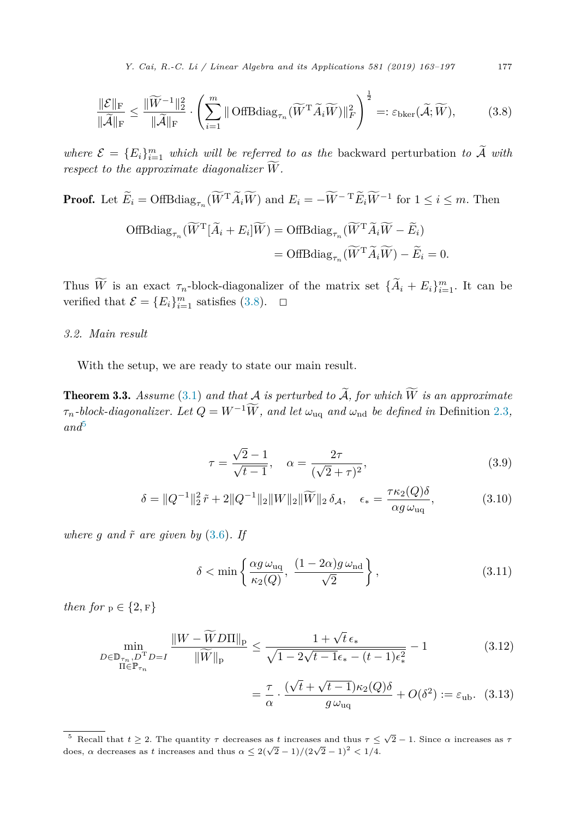*Y. Cai, R.-C. Li / Linear Algebra and its Applications 581 (2019) 163–197* 177

<span id="page-14-0"></span>
$$
\frac{\|\mathcal{E}\|_{\mathrm{F}}}{\|\widetilde{\mathcal{A}}\|_{\mathrm{F}}} \le \frac{\|\widetilde{W}^{-1}\|_{2}^{2}}{\|\widetilde{\mathcal{A}}\|_{\mathrm{F}}} \cdot \left(\sum_{i=1}^{m} \|\text{OffBdiag}_{\tau_{n}}(\widetilde{W}^{T}\widetilde{A}_{i}\widetilde{W})\|_{F}^{2}\right)^{\frac{1}{2}} =: \varepsilon_{\text{bker}}(\widetilde{\mathcal{A}}; \widetilde{W}),\tag{3.8}
$$

*where*  $\mathcal{E} = \{E_i\}_{i=1}^m$  *which will be referred to as the backward perturbation to*  $\tilde{\mathcal{A}}$  *with respect to the approximate diagonalizer W* -*.*

# **Proof.** Let  $E_i = \text{OffBdiag}_{\tau_n}(W^{\mathsf{T}} A_i W)$  and  $E_i = -W^{-\mathsf{T}} E_i W^{-1}$  for  $1 \le i \le m$ . Then  $\text{OffBdiag}_{\tau_n}(\tilde{W}^T[\tilde{A}_i + E_i | \tilde{W}) = \text{OffBdiag}_{\tau_n}(\tilde{W}^T \tilde{A}_i \tilde{W} - \tilde{E}_i)$  $=$  OffBdiag<sub> $\tau_n$ </sub>  $(\widetilde{W}^T \widetilde{A}_i \widetilde{W}) - \widetilde{E}_i = 0.$

Thus *W* is an exact  $\tau_n$ -block-diagonalizer of the matrix set  $\{A_i + E_i\}_{i=1}^m$ . It can be verified that  $\mathcal{E} = \{E_i\}_{i=1}^m$  satisfies (3.8).  $\Box$ 

#### *3.2. Main result*

With the setup, we are ready to state our main result.

**Theorem 3.3.** Assume [\(3.1\)](#page-12-0) and that  $A$  is perturbed to  $A$ , for which  $W$  is an approximate  $\tau_n$ -block-diagonalizer. Let  $Q = W^{-1}\widetilde{W}$ , and let  $\omega_{\text{uq}}$  and  $\omega_{\text{nd}}$  be defined in Definition [2.3](#page-10-0), *and*<sup>5</sup>

$$
\tau = \frac{\sqrt{2} - 1}{\sqrt{t - 1}}, \quad \alpha = \frac{2\tau}{(\sqrt{2} + \tau)^2},
$$
\n(3.9)

$$
\delta = \|Q^{-1}\|_2^2 \tilde{r} + 2\|Q^{-1}\|_2 \|W\|_2 \|\widetilde{W}\|_2 \delta_{\mathcal{A}}, \quad \epsilon_* = \frac{\tau \kappa_2(Q)\delta}{\alpha g \omega_{\text{uq}}},
$$
(3.10)

*where*  $g$  *and*  $\tilde{r}$  *are given by* [\(3.6\)](#page-13-0)*. If* 

$$
\delta < \min\left\{\frac{\alpha g \,\omega_{\text{uq}}}{\kappa_2(Q)}, \, \frac{(1-2\alpha)g \,\omega_{\text{nd}}}{\sqrt{2}}\right\},\tag{3.11}
$$

*then for*  $p \in \{2, F\}$ 

$$
\min_{\substack{D \in \mathbb{D}_{\tau_n}, D^{\mathrm{T}} D = I \\ \Pi \in \mathbb{P}_{\tau_n}}} \frac{\|W - \widetilde{W} D \Pi\|_{\mathrm{p}}}{\|\widetilde{W}\|_{\mathrm{p}}} \le \frac{1 + \sqrt{t} \,\epsilon_*}{\sqrt{1 - 2\sqrt{t - 1}\epsilon_* - (t - 1)\epsilon_*^2}} - 1\tag{3.12}
$$

$$
= \frac{\tau}{\alpha} \cdot \frac{(\sqrt{t} + \sqrt{t-1})\kappa_2(Q)\delta}{g\,\omega_{\text{uq}}} + O(\delta^2) := \varepsilon_{\text{ub}}.\tag{3.13}
$$

<sup>&</sup>lt;sup>5</sup> Recall that  $t \ge 2$ . The quantity  $\tau$  decreases as *t* increases and thus  $\tau \le \sqrt{2} - 1$ . Since  $\alpha$  increases as  $\tau$ does, *α* decreases as *t* increases and thus  $\alpha \leq 2(\sqrt{2}-1)/(2\sqrt{2}-1)^2 < 1/4$ .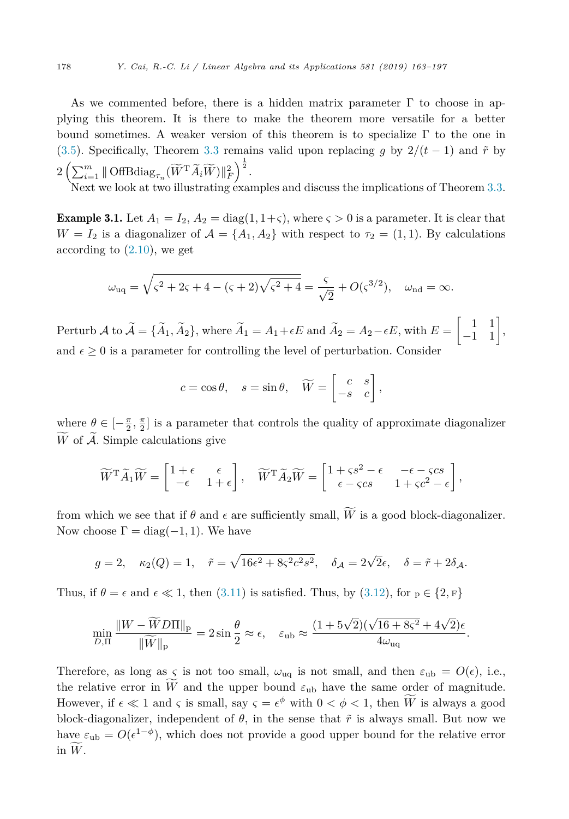<span id="page-15-0"></span>As we commented before, there is a hidden matrix parameter  $\Gamma$  to choose in applying this theorem. It is there to make the theorem more versatile for a better bound sometimes. A weaker version of this theorem is to specialize  $\Gamma$  to the one in [\(3.5\)](#page-13-0). Specifically, Theorem [3.3](#page-14-0) remains valid upon replacing *g* by  $2/(t-1)$  and  $\tilde{r}$  by  $2 \left( \sum_{i=1}^m \|\text{OffBdiag}_{\tau_n}(\widetilde{W}^{\text{T}}\widetilde{A}_i\widetilde{W})\|_F^2 \right)^{\frac{1}{2}}.$ 

Next we look at two illustrating examples and discuss the implications of Theorem [3.3.](#page-14-0)

**Example 3.1.** Let  $A_1 = I_2$ ,  $A_2 = \text{diag}(1, 1+\varsigma)$ , where  $\varsigma > 0$  is a parameter. It is clear that  $W = I_2$  is a diagonalizer of  $\mathcal{A} = \{A_1, A_2\}$  with respect to  $\tau_2 = (1, 1)$ . By calculations according to  $(2.10)$ , we get

$$
\omega_{\text{uq}} = \sqrt{\varsigma^2 + 2\varsigma + 4 - (\varsigma + 2)\sqrt{\varsigma^2 + 4}} = \frac{\varsigma}{\sqrt{2}} + O(\varsigma^{3/2}), \quad \omega_{\text{nd}} = \infty.
$$

Perturb  $\mathcal{A}$  to  $\widetilde{\mathcal{A}} = {\widetilde{A_1}, \widetilde{A_2}}$ , where  $\widetilde{A_1} = A_1 + \epsilon E$  and  $\widetilde{A_2} = A_2 - \epsilon E$ , with  $E = \begin{bmatrix} 1 & 1 \\ -1 & 1 \end{bmatrix}$ , and  $\epsilon \geq 0$  is a parameter for controlling the level of perturbation. Consider

$$
c = \cos \theta
$$
,  $s = \sin \theta$ ,  $\widetilde{W} = \begin{bmatrix} c & s \\ -s & c \end{bmatrix}$ ,

where  $\theta \in [-\frac{\pi}{2}, \frac{\pi}{2}]$  is a parameter that controls the quality of approximate diagonalizer W of  $A$ . Simple calculations give

$$
\widetilde{W}^{\mathsf{T}}\widetilde{A}_1\widetilde{W} = \begin{bmatrix} 1+\epsilon & \epsilon \\ -\epsilon & 1+\epsilon \end{bmatrix}, \quad \widetilde{W}^{\mathsf{T}}\widetilde{A}_2\widetilde{W} = \begin{bmatrix} 1+\varsigma s^2 - \epsilon & -\epsilon-\varsigma c s \\ \epsilon-\varsigma c s & 1+\varsigma c^2-\epsilon \end{bmatrix},
$$

from which we see that if  $\theta$  and  $\epsilon$  are sufficiently small, *W* is a good block-diagonalizer. Now choose  $\Gamma = \text{diag}(-1, 1)$ . We have

$$
g = 2
$$
,  $\kappa_2(Q) = 1$ ,  $\tilde{r} = \sqrt{16\epsilon^2 + 8\varsigma^2 c^2 s^2}$ ,  $\delta_{\mathcal{A}} = 2\sqrt{2}\epsilon$ ,  $\delta = \tilde{r} + 2\delta_{\mathcal{A}}$ .

Thus, if  $\theta = \epsilon$  and  $\epsilon \ll 1$ , then [\(3.11\)](#page-14-0) is satisfied. Thus, by [\(3.12\)](#page-14-0), for  $p \in \{2, F\}$ 

$$
\min_{D,\Pi} \frac{\|W - \widetilde{W}D\Pi\|_{\mathbf{p}}}{\|\widetilde{W}\|_{\mathbf{p}}} = 2\sin\frac{\theta}{2} \approx \epsilon, \quad \varepsilon_{\text{ub}} \approx \frac{(1 + 5\sqrt{2})(\sqrt{16 + 8\varsigma^2} + 4\sqrt{2})\epsilon}{4\omega_{\text{uq}}}.
$$

Therefore, as long as *ς* is not too small,  $\omega_{\text{uq}}$  is not small, and then  $\varepsilon_{\text{ub}} = O(\epsilon)$ , i.e., the relative error in *W* and the upper bound  $\varepsilon_{\text{ub}}$  have the same order of magnitude. However, if  $\epsilon \ll 1$  and  $\varsigma$  is small, say  $\varsigma = \epsilon^{\phi}$  with  $0 < \phi < 1$ , then  $\overline{W}$  is always a good block-diagonalizer, independent of  $\theta$ , in the sense that  $\tilde{r}$  is always small. But now we have  $\varepsilon_{\rm ub} = O(\epsilon^{1-\phi})$ , which does not provide a good upper bound for the relative error in  $W$ .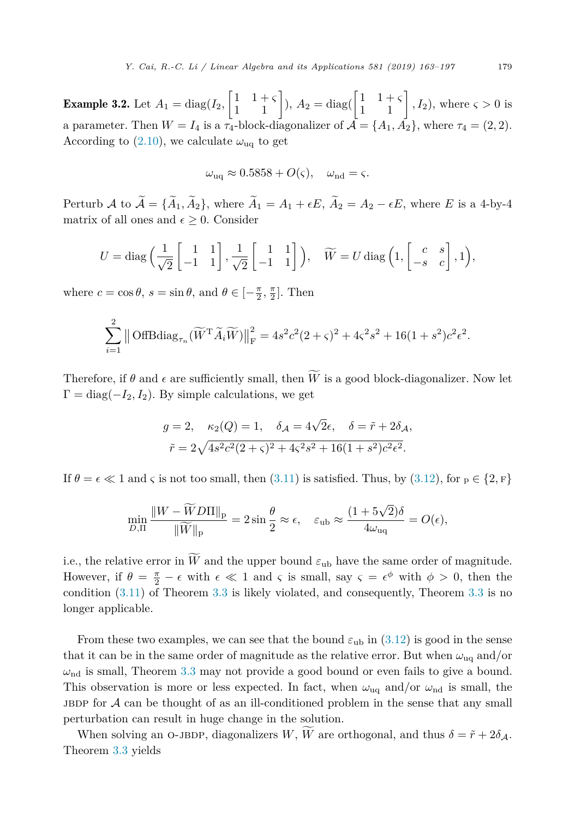<span id="page-16-0"></span>**Example 3.2.** Let  $A_1 = \text{diag}(I_2, \begin{bmatrix} 1 & 1+\varsigma \\ 1 & 1 \end{bmatrix}), A_2 = \text{diag}(\begin{bmatrix} 1 & 1+\varsigma \\ 1 & 1 \end{bmatrix}, I_2), \text{ where } \varsigma > 0 \text{ is }$ a parameter. Then  $W = I_4$  is a  $\tau_4$ -block-diagonalizer of  $\mathcal{A} = \{A_1, A_2\}$ , where  $\tau_4 = (2, 2)$ . According to  $(2.10)$ , we calculate  $\omega_{\text{uq}}$  to get

$$
\omega_{\text{uq}} \approx 0.5858 + O(\varsigma), \quad \omega_{\text{nd}} = \varsigma.
$$

Perturb A to  $\widetilde{\mathcal{A}} = {\widetilde{A}_1, \widetilde{A}_2}$ , where  $\widetilde{A}_1 = A_1 + \epsilon E, \widetilde{A}_2 = A_2 - \epsilon E$ , where E is a 4-by-4 matrix of all ones and  $\epsilon \geq 0$ . Consider

$$
U = \text{diag}\left(\frac{1}{\sqrt{2}} \begin{bmatrix} 1 & 1 \\ -1 & 1 \end{bmatrix}, \frac{1}{\sqrt{2}} \begin{bmatrix} 1 & 1 \\ -1 & 1 \end{bmatrix}\right), \quad \widetilde{W} = U \text{ diag}\left(1, \begin{bmatrix} c & s \\ -s & c \end{bmatrix}, 1\right),
$$

where  $c = \cos \theta$ ,  $s = \sin \theta$ , and  $\theta \in \left[-\frac{\pi}{2}, \frac{\pi}{2}\right]$ . Then

$$
\sum_{i=1}^{2} \left\| \text{OffBdiag}_{\tau_n}(\widetilde{W}^{\mathsf{T}} \widetilde{A}_i \widetilde{W}) \right\|_{\mathrm{F}}^2 = 4s^2 c^2 (2 + \varsigma)^2 + 4\varsigma^2 s^2 + 16(1 + s^2) c^2 \epsilon^2.
$$

Therefore, if  $\theta$  and  $\epsilon$  are sufficiently small, then *W* is a good block-diagonalizer. Now let  $\Gamma = \text{diag}(-I_2, I_2)$ . By simple calculations, we get

$$
g = 2
$$
,  $\kappa_2(Q) = 1$ ,  $\delta_{\mathcal{A}} = 4\sqrt{2}\epsilon$ ,  $\delta = \tilde{r} + 2\delta_{\mathcal{A}}$ ,  
 $\tilde{r} = 2\sqrt{4s^2c^2(2+\varsigma)^2 + 4\varsigma^2s^2 + 16(1+s^2)c^2\epsilon^2}$ .

If  $\theta = \epsilon \ll 1$  and *ς* is not too small, then [\(3.11\)](#page-14-0) is satisfied. Thus, by [\(3.12\)](#page-14-0), for  $p \in \{2, F\}$ 

$$
\min_{D,\Pi} \frac{\|W - \widetilde{W}D\Pi\|_{\mathbf{p}}}{\|\widetilde{W}\|_{\mathbf{p}}} = 2\sin\frac{\theta}{2} \approx \epsilon, \quad \varepsilon_{\text{ub}} \approx \frac{(1 + 5\sqrt{2})\delta}{4\omega_{\text{uq}}} = O(\epsilon),
$$

i.e., the relative error in *W* and the upper bound  $\varepsilon_{\text{ub}}$  have the same order of magnitude. However, if  $\theta = \frac{\pi}{2} - \epsilon$  with  $\epsilon \ll 1$  and  $\varsigma$  is small, say  $\varsigma = \epsilon^{\phi}$  with  $\phi > 0$ , then the condition [\(3.11\)](#page-14-0) of Theorem [3.3](#page-14-0) is likely violated, and consequently, Theorem [3.3](#page-14-0) is no longer applicable.

From these two examples, we can see that the bound  $\varepsilon_{\text{ub}}$  in [\(3.12\)](#page-14-0) is good in the sense that it can be in the same order of magnitude as the relative error. But when  $\omega_{uq}$  and/or  $\omega_{\rm nd}$  is small, Theorem [3.3](#page-14-0) may not provide a good bound or even fails to give a bound. This observation is more or less expected. In fact, when  $\omega_{\text{uq}}$  and/or  $\omega_{\text{nd}}$  is small, the JBDP for  $A$  can be thought of as an ill-conditioned problem in the sense that any small perturbation can result in huge change in the solution.

When solving an O-JBDP, diagonalizers  $W$ ,  $\widetilde{W}$  are orthogonal, and thus  $\delta = \widetilde{r} + 2\delta_{\mathcal{A}}$ . Theorem [3.3](#page-14-0) yields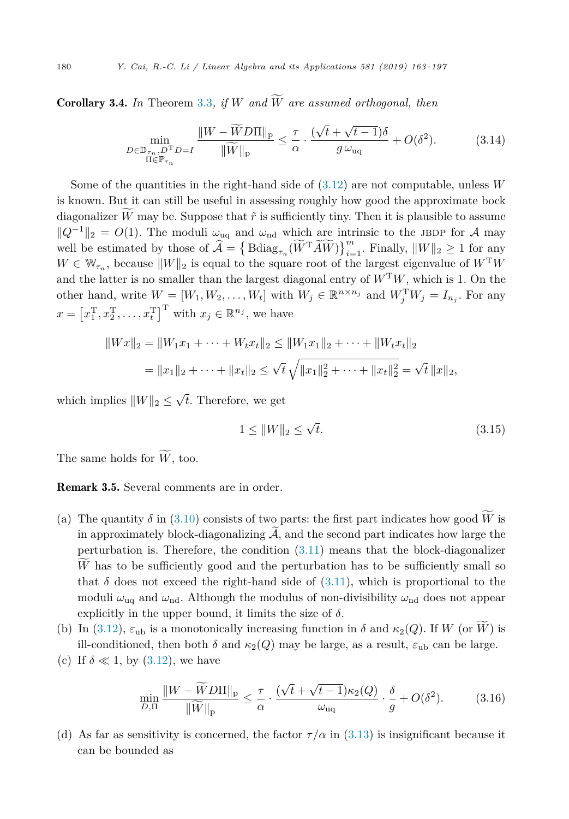<span id="page-17-0"></span>Corollary 3.4. *In* Theorem [3.3](#page-14-0)*, if W and W* - *are assumed orthogonal, then*

$$
\min_{\substack{D \in \mathbb{D}_{\tau_n}, D^{\mathrm{T}} D = I \\ \Pi \in \mathbb{P}_{\tau_n}}} \frac{\|W - \widetilde{W} D\Pi\|_{\mathbf{p}}}{\|\widetilde{W}\|_{\mathbf{p}}} \le \frac{\tau}{\alpha} \cdot \frac{(\sqrt{t} + \sqrt{t - 1})\delta}{g \,\omega_{\text{uq}}} + O(\delta^2). \tag{3.14}
$$

Some of the quantities in the right-hand side of [\(3.12\)](#page-14-0) are not computable, unless *W* is known. But it can still be useful in assessing roughly how good the approximate bock diagonalizer *W* may be. Suppose that  $\tilde{r}$  is sufficiently tiny. Then it is plausible to assume  $||Q^{-1}||_2 = O(1)$ . The moduli  $\omega_{\text{uq}}$  and  $\omega_{\text{nd}}$  which are intrinsic to the JBDP for A may well be estimated by those of  $\widehat{\mathcal{A}} = \left\{ \text{Bdiag}_{\tau_n}(\widetilde{W}^T \widetilde{A} \widetilde{W}) \right\}_{i=1}^m$ . Finally,  $||W||_2 \geq 1$  for any  $W \in \mathbb{W}_{\tau_n}$ , because  $||W||_2$  is equal to the square root of the largest eigenvalue of  $W<sup>T</sup>W$ and the latter is no smaller than the largest diagonal entry of  $W<sup>T</sup>W$ , which is 1. On the other hand, write  $W = [W_1, W_2, \dots, W_t]$  with  $W_j \in \mathbb{R}^{n \times n_j}$  and  $W_j^{\mathrm{T}} W_j = I_{n_j}$ . For any  $x = \left[x_1^{\mathrm{T}}, x_2^{\mathrm{T}}, \ldots, x_t^{\mathrm{T}}\right]^{\mathrm{T}}$  with  $x_j \in \mathbb{R}^{n_j}$ , we have

$$
||Wx||_2 = ||W_1x_1 + \dots + W_tx_t||_2 \le ||W_1x_1||_2 + \dots + ||W_tx_t||_2
$$
  
=  $||x_1||_2 + \dots + ||x_t||_2 \le \sqrt{t} \sqrt{||x_1||_2^2 + \dots + ||x_t||_2^2} = \sqrt{t} ||x||_2,$ 

which implies  $||W||_2 \leq \sqrt{t}$ . Therefore, we get

$$
1 \le ||W||_2 \le \sqrt{t}.\tag{3.15}
$$

The same holds for  $W$ , too.

Remark 3.5. Several comments are in order.

- (a) The quantity  $\delta$  in [\(3.10\)](#page-14-0) consists of two parts: the first part indicates how good *W* is in approximately block-diagonalizing  $A$ , and the second part indicates how large the perturbation is. Therefore, the condition  $(3.11)$  means that the block-diagonalizer *W* has to be sufficiently good and the perturbation has to be sufficiently small so that  $\delta$  does not exceed the right-hand side of  $(3.11)$ , which is proportional to the moduli  $\omega_{\text{uq}}$  and  $\omega_{\text{nd}}$ . Although the modulus of non-divisibility  $\omega_{\text{nd}}$  does not appear explicitly in the upper bound, it limits the size of  $\delta$ .
- (b) In [\(3.12\)](#page-14-0),  $\varepsilon_{\text{ub}}$  is a monotonically increasing function in  $\delta$  and  $\kappa_2(Q)$ . If *W* (or *W*) is ill-conditioned, then both  $\delta$  and  $\kappa_2(Q)$  may be large, as a result,  $\varepsilon_{\text{ub}}$  can be large.
- (c) If  $\delta \ll 1$ , by [\(3.12\)](#page-14-0), we have

$$
\min_{D,\Pi} \frac{\|W - \widetilde{W}D\Pi\|_{\mathbf{p}}}{\|\widetilde{W}\|_{\mathbf{p}}} \leq \frac{\tau}{\alpha} \cdot \frac{(\sqrt{t} + \sqrt{t-1})\kappa_2(Q)}{\omega_{\mathbf{u}\mathbf{q}}} \cdot \frac{\delta}{g} + O(\delta^2). \tag{3.16}
$$

(d) As far as sensitivity is concerned, the factor  $\tau/\alpha$  in [\(3.13\)](#page-14-0) is insignificant because it can be bounded as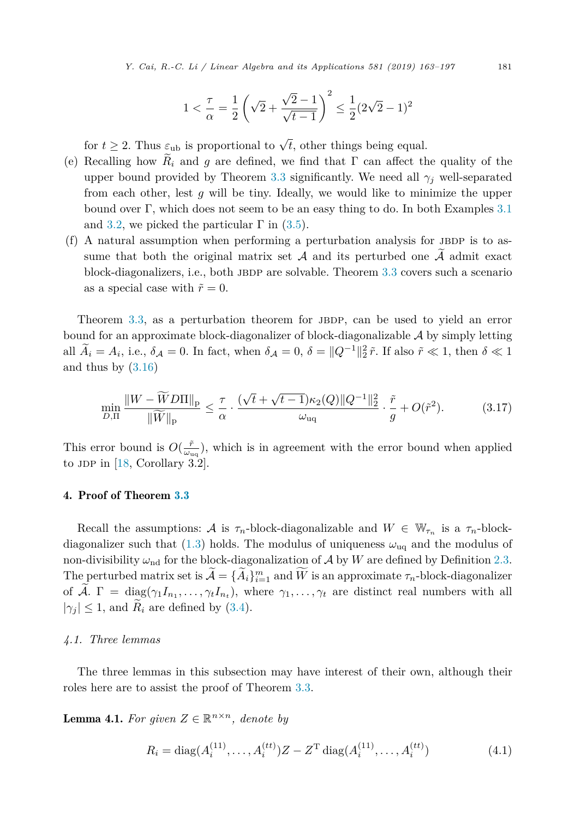$$
1 < \frac{\tau}{\alpha} = \frac{1}{2} \left( \sqrt{2} + \frac{\sqrt{2} - 1}{\sqrt{t - 1}} \right)^2 \le \frac{1}{2} (2\sqrt{2} - 1)^2
$$

<span id="page-18-0"></span>for  $t \geq 2$ . Thus  $\varepsilon_{\text{ub}}$  is proportional to  $\sqrt{t}$ , other things being equal.

- (e) Recalling how  $\hat{R}_i$  and *g* are defined, we find that  $\Gamma$  can affect the quality of the upper bound provided by Theorem [3.3](#page-14-0) significantly. We need all  $\gamma_i$  well-separated from each other, lest *g* will be tiny. Ideally, we would like to minimize the upper bound over  $\Gamma$ , which does not seem to be an easy thing to do. In both Examples [3.1](#page-15-0) and [3.2,](#page-16-0) we picked the particular  $\Gamma$  in [\(3.5\)](#page-13-0).
- $(f)$  A natural assumption when performing a perturbation analysis for JBDP is to assume that both the original matrix set  $A$  and its perturbed one  $\widetilde{A}$  admit exact block-diagonalizers, i.e., both JBDP are solvable. Theorem [3.3](#page-14-0) covers such a scenario as a special case with  $\tilde{r} = 0$ .

Theorem [3.3,](#page-14-0) as a perturbation theorem for JBDP, can be used to yield an error bound for an approximate block-diagonalizer of block-diagonalizable  $A$  by simply letting all  $A_i = A_i$ , i.e.,  $\delta A = 0$ . In fact, when  $\delta A = 0$ ,  $\delta = ||Q^{-1}||_2^2 \tilde{r}$ . If also  $\tilde{r} \ll 1$ , then  $\delta \ll 1$ and thus by  $(3.16)$ 

$$
\min_{D,\Pi} \frac{\|W - \widetilde{W}D\Pi\|_{\mathbf{p}}}{\|\widetilde{W}\|_{\mathbf{p}}} \leq \frac{\tau}{\alpha} \cdot \frac{(\sqrt{t} + \sqrt{t-1})\kappa_2(Q)\|Q^{-1}\|_2^2}{\omega_{\text{uq}}} \cdot \frac{\tilde{r}}{g} + O(\tilde{r}^2). \tag{3.17}
$$

This error bound is  $O(\frac{\tilde{r}}{\omega_{\text{uq}}})$ , which is in agreement with the error bound when applied to JDP in  $[18, Corollary 3.2]$  $[18, Corollary 3.2]$ .

#### 4. Proof of Theorem [3.3](#page-14-0)

Recall the assumptions: A is  $\tau_n$ -block-diagonalizable and  $W \in \mathbb{W}_{\tau_n}$  is a  $\tau_n$ -blockdiagonalizer such that  $(1.3)$  holds. The modulus of uniqueness  $\omega_{\text{uq}}$  and the modulus of non-divisibility  $\omega_{\rm nd}$  for the block-diagonalization of  $A$  by  $W$  are defined by Definition [2.3.](#page-10-0) The perturbed matrix set is  $\widetilde{\mathcal{A}} = {\widetilde{A}_i}_{i=1}^m$  and  $\widetilde{W}$  is an approximate  $\tau_n$ -block-diagonalizer of  $\widetilde{A}$ .  $\Gamma = \text{diag}(\gamma_1 I_{n_1}, \dots, \gamma_t I_{n_t}),$  where  $\gamma_1, \dots, \gamma_t$  are distinct real numbers with all  $|\gamma_i| \leq 1$ , and  $R_i$  are defined by [\(3.4\)](#page-13-0).

#### *4.1. Three lemmas*

The three lemmas in this subsection may have interest of their own, although their roles here are to assist the proof of Theorem [3.3.](#page-14-0)

**Lemma 4.1.** For given  $Z \in \mathbb{R}^{n \times n}$ , denote by

$$
R_i = \text{diag}(A_i^{(11)}, \dots, A_i^{(tt)}) Z - Z^{\text{T}} \text{diag}(A_i^{(11)}, \dots, A_i^{(tt)})
$$
(4.1)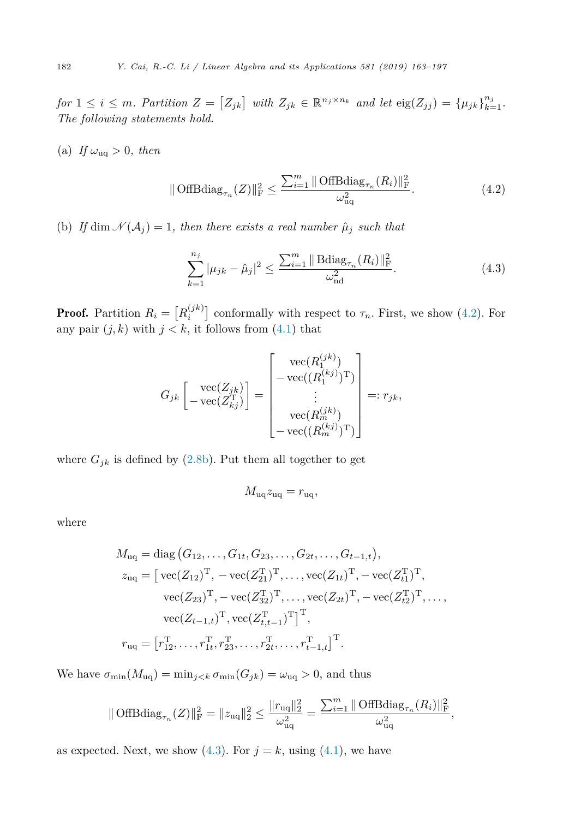<span id="page-19-0"></span>for  $1 \leq i \leq m$ . Partition  $Z = [Z_{jk}]$  with  $Z_{jk} \in \mathbb{R}^{n_j \times n_k}$  and let  $\text{eig}(Z_{jj}) = {\mu_{jk}}_{k=1}^{n_j}$ . *The following statements hold.*

(a) If  $\omega_{\text{uq}} > 0$ , then

$$
\|\text{OffBdiag}_{\tau_n}(Z)\|_{\mathrm{F}}^2 \le \frac{\sum_{i=1}^m \|\text{OffBdiag}_{\tau_n}(R_i)\|_{\mathrm{F}}^2}{\omega_{\mathrm{uq}}^2}.
$$
\n(4.2)

(b) *If* dim  $\mathcal{N}(\mathcal{A}_j) = 1$ , then there exists a real number  $\hat{\mu}_j$  such that

$$
\sum_{k=1}^{n_j} |\mu_{jk} - \hat{\mu}_j|^2 \le \frac{\sum_{i=1}^m \|\text{Bdiag}_{\tau_n}(R_i)\|_{\text{F}}^2}{\omega_{\text{nd}}^2}.
$$
\n(4.3)

**Proof.** Partition  $R_i = [R_i^{(jk)}]$  conformally with respect to  $\tau_n$ . First, we show (4.2). For any pair  $(j, k)$  with  $j < k$ , it follows from  $(4.1)$  that

$$
G_{jk}\begin{bmatrix} \text{vec}(Z_{jk})\\ -\text{vec}(Z_{kj}^T) \end{bmatrix} = \begin{bmatrix} \text{vec}(R_1^{(jk)})\\ -\text{vec}((R_1^{(kj)})^T)\\ \vdots\\ \text{vec}(R_m^{(jk)})\\ -\text{vec}((R_m^{(kj)})^T) \end{bmatrix} =:r_{jk},
$$

where  $G_{jk}$  is defined by [\(2.8b\)](#page-8-0). Put them all together to get

$$
M_{\rm uq} z_{\rm uq} = r_{\rm uq},
$$

where

$$
M_{\text{uq}} = \text{diag}(G_{12}, \dots, G_{1t}, G_{23}, \dots, G_{2t}, \dots, G_{t-1,t}),
$$
  
\n
$$
z_{\text{uq}} = [\text{vec}(Z_{12})^T, -\text{vec}(Z_{21}^T)^T, \dots, \text{vec}(Z_{1t})^T, -\text{vec}(Z_{t1}^T)^T,
$$
  
\n
$$
\text{vec}(Z_{23})^T, -\text{vec}(Z_{32}^T)^T, \dots, \text{vec}(Z_{2t})^T, -\text{vec}(Z_{t2}^T)^T, \dots,
$$
  
\n
$$
\text{vec}(Z_{t-1,t})^T, \text{vec}(Z_{t,t-1}^T)^T]^T,
$$
  
\n
$$
r_{\text{uq}} = [r_{12}^T, \dots, r_{1t}^T, r_{23}^T, \dots, r_{2t}^T, \dots, r_{t-1,t}^T]^T.
$$

We have  $\sigma_{\min}(M_{\text{uq}}) = \min_{j < k} \sigma_{\min}(G_{jk}) = \omega_{\text{uq}} > 0$ , and thus

$$
\|\operatorname{OffBdiag}_{\tau_n}(Z)\|_{\rm F}^2=\|z_{{\rm uq}}\|_2^2\leq \frac{\|r_{{\rm uq}}\|_2^2}{\omega_{{\rm uq}}^2}=\frac{\sum_{i=1}^m \|\operatorname{OffBdiag}_{\tau_n}(R_i)\|_{\rm F}^2}{\omega_{{\rm uq}}^2},
$$

as expected. Next, we show  $(4.3)$ . For  $j = k$ , using  $(4.1)$ , we have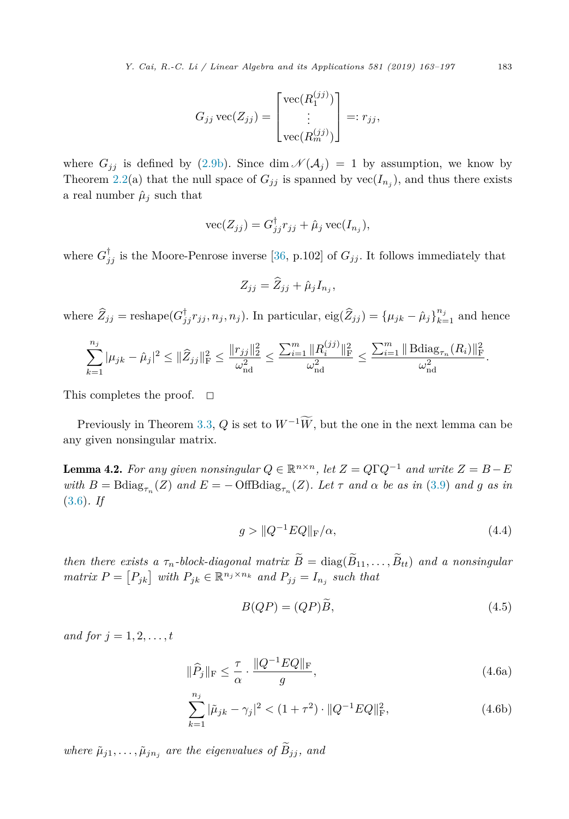$$
G_{jj}\,\text{vec}(Z_{jj}) = \begin{bmatrix} \text{vec}(R_1^{(jj)}) \\ \vdots \\ \text{vec}(R_m^{(jj)}) \end{bmatrix} =: r_{jj},
$$

<span id="page-20-0"></span>where  $G_{jj}$  is defined by [\(2.9b\)](#page-9-0). Since dim  $\mathcal{N}(\mathcal{A}_j) = 1$  by assumption, we know by Theorem [2.2\(](#page-9-0)a) that the null space of  $G_{jj}$  is spanned by  $vec(I_{n_j})$ , and thus there exists a real number  $\hat{\mu}_j$  such that

$$
\text{vec}(Z_{jj}) = G_{jj}^{\dagger} r_{jj} + \hat{\mu}_j \text{vec}(I_{n_j}),
$$

where  $G_{jj}^{\dagger}$  is the Moore-Penrose inverse [\[36,](#page-34-0) p.102] of  $G_{jj}$ . It follows immediately that

$$
Z_{jj} = \widehat{Z}_{jj} + \widehat{\mu}_j I_{n_j},
$$

where  $\widehat{Z}_{jj}$  = reshape( $G_{jj}^{\dagger}r_{jj}, n_j, n_j$ ). In particular,  $\text{eig}(\widehat{Z}_{jj}) = {\mu_{jk} - \widehat{\mu}_j}_{k=1}^{n_j}$  and hence

$$
\sum_{k=1}^{n_j} |\mu_{jk} - \hat{\mu}_j|^2 \leq ||\widehat{Z}_{jj}||_{\mathrm{F}}^2 \leq \frac{||r_{jj}||_2^2}{\omega_{\mathrm{nd}}^2} \leq \frac{\sum_{i=1}^m ||R_i^{(jj)}||_{\mathrm{F}}^2}{\omega_{\mathrm{nd}}^2} \leq \frac{\sum_{i=1}^m ||\mathrm{Bdiag}_{\tau_n}(R_i)||_{\mathrm{F}}^2}{\omega_{\mathrm{nd}}^2}.
$$

This completes the proof.  $\square$ 

Previously in Theorem [3.3,](#page-14-0)  $Q$  is set to  $W^{-1}\overline{W}$ , but the one in the next lemma can be any given nonsingular matrix.

**Lemma 4.2.** For any given nonsingular  $Q \in \mathbb{R}^{n \times n}$ , let  $Z = Q\Gamma Q^{-1}$  and write  $Z = B - E$ with  $B = \text{Bdiag}_{\tau_n}(Z)$  and  $E = -\text{OffBdiag}_{\tau_n}(Z)$ . Let  $\tau$  and  $\alpha$  be as in [\(3.9\)](#page-14-0) and g as in [\(3.6\)](#page-13-0)*. If*

$$
g > \|Q^{-1}EQ\|_{\mathcal{F}}/\alpha,
$$
\n
$$
(4.4)
$$

*then there exists a*  $\tau_n$ -*block-diagonal matrix*  $\widetilde{B} = \text{diag}(\widetilde{B}_{11}, \ldots, \widetilde{B}_{tt})$  *and a nonsingular matrix*  $P = [P_{jk}]$  *with*  $P_{jk} \in \mathbb{R}^{n_j \times n_k}$  *and*  $P_{jj} = I_{n_j}$  *such that* 

$$
B(QP) = (QP)\widetilde{B},\tag{4.5}
$$

*and for*  $j = 1, 2, \ldots, t$ 

$$
\|\widehat{P}_j\|_{\rm F} \le \frac{\tau}{\alpha} \cdot \frac{\|Q^{-1}EQ\|_{\rm F}}{g},\tag{4.6a}
$$

$$
\sum_{k=1}^{n_j} |\tilde{\mu}_{jk} - \gamma_j|^2 < (1 + \tau^2) \cdot \|Q^{-1}EQ\|_{\text{F}}^2,\tag{4.6b}
$$

*where*  $\tilde{\mu}_{j1}, \ldots, \tilde{\mu}_{jn}$  *are the eigenvalues of*  $\tilde{B}_{jj}$ *, and*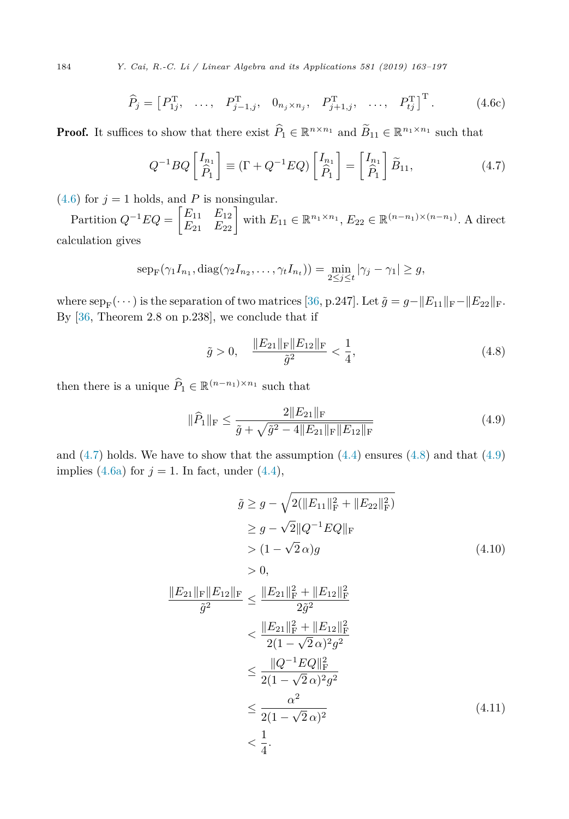<span id="page-21-0"></span>184 *Y. Cai, R.-C. Li / Linear Algebra and its Applications 581 (2019) 163–197*

$$
\widehat{P}_j = \begin{bmatrix} P_{1j}^{\mathrm{T}}, & \dots, & P_{j-1,j}^{\mathrm{T}}, & 0_{n_j \times n_j}, & P_{j+1,j}^{\mathrm{T}}, & \dots, & P_{tj}^{\mathrm{T}} \end{bmatrix}^{\mathrm{T}}.
$$
 (4.6c)

**Proof.** It suffices to show that there exist  $\widehat{P}_1 \in \mathbb{R}^{n \times n_1}$  and  $\widetilde{B}_{11} \in \mathbb{R}^{n_1 \times n_1}$  such that

$$
Q^{-1}BQ\begin{bmatrix}I_{n_1}\\ \hat{P}_1\end{bmatrix}\equiv (\Gamma+Q^{-1}EQ)\begin{bmatrix}I_{n_1}\\ \hat{P}_1\end{bmatrix}=\begin{bmatrix}I_{n_1}\\ \hat{P}_1\end{bmatrix}\widetilde{B}_{11},\tag{4.7}
$$

 $(4.6)$  for  $j = 1$  holds, and *P* is nonsingular.

 $\text{Partition } Q^{-1}EQ = \begin{bmatrix} E_{11} & E_{12} \\ E_{21} & E_{22} \end{bmatrix} \text{ with } E_{11} \in \mathbb{R}^{n_1 \times n_1}, E_{22} \in \mathbb{R}^{(n-n_1) \times (n-n_1)}$ . A direct calculation gives

$$
\mathrm{sep}_{\mathrm{F}}(\gamma_1 I_{n_1}, \mathrm{diag}(\gamma_2 I_{n_2}, \dots, \gamma_t I_{n_t})) = \min_{2 \leq j \leq t} |\gamma_j - \gamma_1| \geq g,
$$

where  $\text{sep}_{\text{F}}(\cdots)$  is the separation of two matrices [\[36,](#page-34-0) p.247]. Let  $\tilde{g} = g - ||E_{11}||_{\text{F}} - ||E_{22}||_{\text{F}}$ . By [\[36,](#page-34-0) Theorem 2.8 on p.238], we conclude that if

$$
\tilde{g} > 0, \quad \frac{\|E_{21}\|_{\mathrm{F}} \|E_{12}\|_{\mathrm{F}}}{\tilde{g}^2} < \frac{1}{4},
$$
\n(4.8)

then there is a unique  $\widehat{P}_1 \in \mathbb{R}^{(n-n_1)\times n_1}$  such that

$$
\|\widehat{P}_1\|_{\rm F} \le \frac{2\|E_{21}\|_{\rm F}}{\tilde{g} + \sqrt{\tilde{g}^2 - 4\|E_{21}\|_{\rm F}\|E_{12}\|_{\rm F}}} \tag{4.9}
$$

and  $(4.7)$  holds. We have to show that the assumption  $(4.4)$  ensures  $(4.8)$  and that  $(4.9)$ implies  $(4.6a)$  for  $j = 1$ . In fact, under  $(4.4)$ ,

$$
\tilde{g} \ge g - \sqrt{2(||E_{11}||_{\mathrm{F}}^2 + ||E_{22}||_{\mathrm{F}}^2)}
$$
\n
$$
\ge g - \sqrt{2}||Q^{-1}EQ||_{\mathrm{F}}
$$
\n
$$
> (1 - \sqrt{2}\alpha)g
$$
\n
$$
> 0,
$$
\n
$$
||E_{21}||_{\mathrm{F}}||E_{12}||_{\mathrm{F}} \le \frac{||E_{21}||_{\mathrm{F}}^2 + ||E_{12}||_{\mathrm{F}}^2}{2\tilde{g}^2}
$$
\n
$$
\le \frac{||E_{21}||_{\mathrm{F}}^2 + ||E_{12}||_{\mathrm{F}}^2}{2(1 - \sqrt{2}\alpha)^2 g^2}
$$
\n
$$
\le \frac{||Q^{-1}EQ||_{\mathrm{F}}^2}{2(1 - \sqrt{2}\alpha)^2 g^2}
$$
\n
$$
\le \frac{\alpha^2}{2(1 - \sqrt{2}\alpha)^2}
$$
\n
$$
\le \frac{1}{4}.
$$
\n(4.11)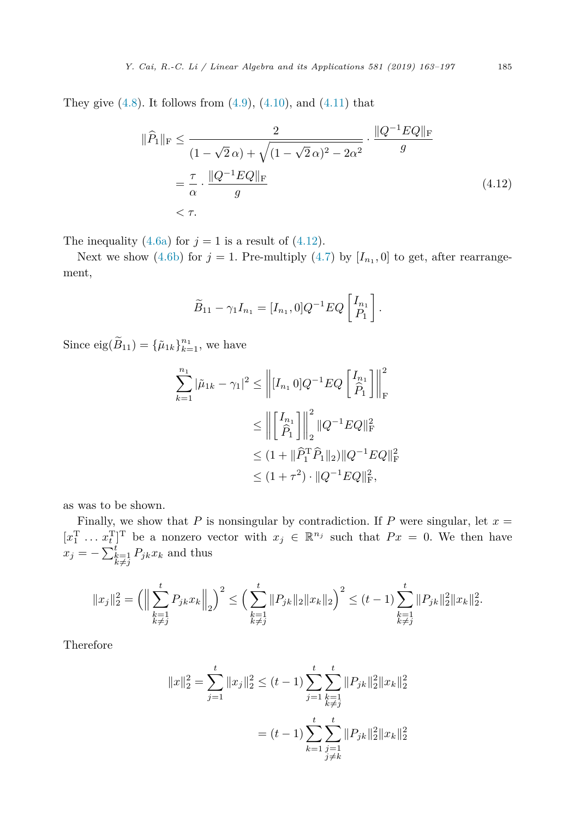They give  $(4.8)$ . It follows from  $(4.9)$ ,  $(4.10)$ , and  $(4.11)$  that

$$
\|\hat{P}_1\|_{\rm F} \le \frac{2}{(1-\sqrt{2}\,\alpha) + \sqrt{(1-\sqrt{2}\,\alpha)^2 - 2\alpha^2}} \cdot \frac{\|Q^{-1}EQ\|_{\rm F}}{g}
$$
  
=  $\frac{\tau}{\alpha} \cdot \frac{\|Q^{-1}EQ\|_{\rm F}}{g}$  (4.12)  
<  $\tau$ .

The inequality [\(4.6a\)](#page-20-0) for  $j = 1$  is a result of (4.12).

Next we show [\(4.6b\)](#page-20-0) for  $j = 1$ . Pre-multiply [\(4.7\)](#page-21-0) by  $[I_{n_1}, 0]$  to get, after rearrangement,

$$
\widetilde{B}_{11} - \gamma_1 I_{n_1} = [I_{n_1}, 0] Q^{-1} E Q \begin{bmatrix} I_{n_1} \\ P_1 \end{bmatrix}.
$$

Since  $\text{eig}(\widetilde{B}_{11}) = {\{\widetilde{\mu}_{1k}\}}_{k=1}^{n_1}$ , we have

$$
\sum_{k=1}^{n_1} |\tilde{\mu}_{1k} - \gamma_1|^2 \le \left\| [I_{n_1} \ 0] Q^{-1} E Q \left[ \frac{I_{n_1}}{\hat{P}_1} \right] \right\|_{\mathrm{F}}^2
$$
  

$$
\le \left\| \left[ \frac{I_{n_1}}{\hat{P}_1} \right] \right\|_2^2 \| Q^{-1} E Q \|^2_{\mathrm{F}}
$$
  

$$
\le (1 + \|\hat{P}_1^{\mathrm{T}} \hat{P}_1 \|_2) \| Q^{-1} E Q \|^2_{\mathrm{F}}
$$
  

$$
\le (1 + \tau^2) \cdot \| Q^{-1} E Q \|^2_{\mathrm{F}},
$$

as was to be shown.

Finally, we show that *P* is nonsingular by contradiction. If *P* were singular, let  $x =$  $[x_1^T \dots x_t^T]^T$  be a nonzero vector with  $x_j \in \mathbb{R}^{n_j}$  such that  $Px = 0$ . We then have  $x_j = -\sum_{\substack{k=1 \ k \neq j}}^{t}$  $P_{jk}x_k$  and thus

$$
||x_j||_2^2 = \left( \Big\|\sum_{\substack{k=1\\k\neq j}}^t P_{jk}x_k \Big\|_2 \right)^2 \le \left( \sum_{\substack{k=1\\k\neq j}}^t \|P_{jk}\|_2 \|x_k\|_2 \right)^2 \le (t-1) \sum_{\substack{k=1\\k\neq j}}^t \|P_{jk}\|_2^2 \|x_k\|_2^2.
$$

Therefore

$$
||x||_2^2 = \sum_{j=1}^t ||x_j||_2^2 \le (t-1) \sum_{j=1}^t \sum_{\substack{k=1 \ k \neq j}}^t ||P_{jk}||_2^2 ||x_k||_2^2
$$

$$
= (t-1) \sum_{k=1}^t \sum_{\substack{j=1 \ j \neq k}}^t ||P_{jk}||_2^2 ||x_k||_2^2
$$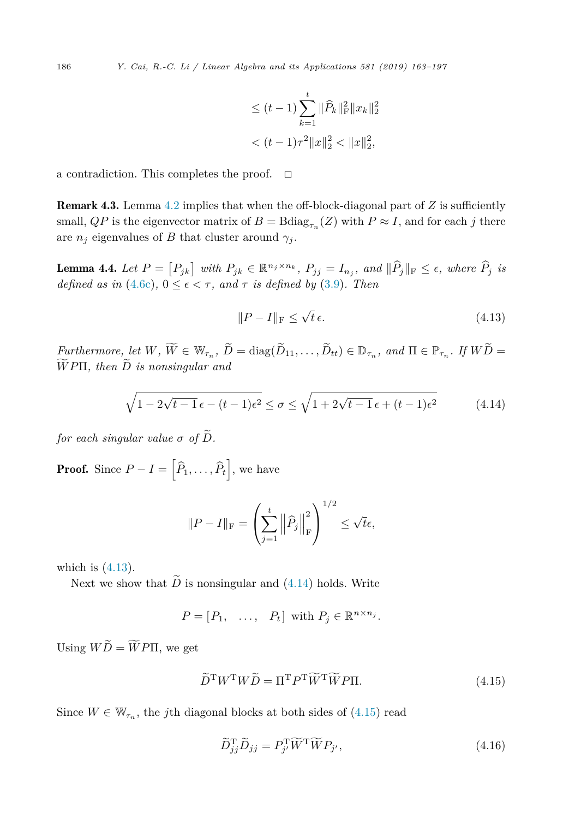$$
\leq (t-1) \sum_{k=1}^{t} \|\widehat{P}_k\|_{\mathrm{F}}^2 \|x_k\|_2^2
$$
  

$$
< (t-1)\tau^2 \|x\|_2^2 < \|x\|_2^2,
$$

a contradiction. This completes the proof.  $\Box$ 

Remark 4.3. Lemma [4.2](#page-20-0) implies that when the off-block-diagonal part of *Z* is sufficiently small, *QP* is the eigenvector matrix of  $B = \text{Bdiag}_{\tau_n}(Z)$  with  $P \approx I$ , and for each *j* there are  $n_j$  eigenvalues of *B* that cluster around  $\gamma_j$ .

**Lemma 4.4.** Let  $P = [P_{jk}]$  with  $P_{jk} \in \mathbb{R}^{n_j \times n_k}$ ,  $P_{jj} = I_{n_j}$ , and  $||P_j||_F \le \epsilon$ , where  $P_j$  is *defined as in* [\(4.6c\)](#page-21-0),  $0 \leq \epsilon \leq \tau$ , *and*  $\tau$  *is defined by* [\(3.9\)](#page-14-0)*. Then* 

$$
||P - I||_{\mathcal{F}} \le \sqrt{t} \,\epsilon. \tag{4.13}
$$

Furthermore, let  $W, W \in \mathbb{W}_{\tau_n}, D = \text{diag}(D_{11}, \ldots, D_{tt}) \in \mathbb{D}_{\tau_n},$  and  $\Pi \in \mathbb{P}_{\tau_n}$ . If  $WD = \widetilde{\tau_n}$ .  $WP\Pi$ , then  $D$  is nonsingular and

$$
\sqrt{1 - 2\sqrt{t - 1}\epsilon - (t - 1)\epsilon^2} \le \sigma \le \sqrt{1 + 2\sqrt{t - 1}\epsilon + (t - 1)\epsilon^2}
$$
(4.14)

*for each singular value*  $\sigma$  *of*  $\tilde{D}$ *.* 

**Proof.** Since  $P - I = \left[ \widehat{P}_1, \ldots, \widehat{P}_t \right]$ , we have

$$
||P - I||_{\mathcal{F}} = \left(\sum_{j=1}^t \left\|\widehat{P}_j\right\|_{\mathcal{F}}^2\right)^{1/2} \leq \sqrt{t}\epsilon,
$$

which is (4.13).

Next we show that  $\widetilde{D}$  is nonsingular and (4.14) holds. Write

$$
P = [P_1, \ldots, P_t] \text{ with } P_j \in \mathbb{R}^{n \times n_j}.
$$

Using  $WD = WPTI$ , we get

$$
\widetilde{D}^{\mathrm{T}}W^{\mathrm{T}}W\widetilde{D} = \Pi^{\mathrm{T}}P^{\mathrm{T}}\widetilde{W}^{\mathrm{T}}\widetilde{W}P\Pi.
$$
\n(4.15)

Since  $W \in \mathbb{W}_{\tau_n}$ , the *j*th diagonal blocks at both sides of (4.15) read

$$
\widetilde{D}_{jj}^{\mathrm{T}}\widetilde{D}_{jj} = P_{j'}^{\mathrm{T}}\widetilde{W}^{\mathrm{T}}\widetilde{W}P_{j'},\tag{4.16}
$$

<span id="page-23-0"></span>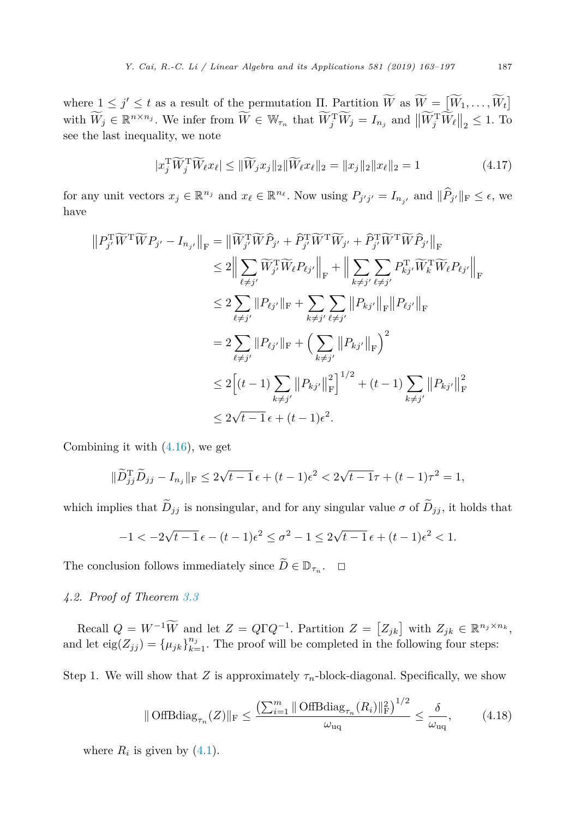<span id="page-24-0"></span>where  $1 \leq j' \leq t$  as a result of the permutation  $\Pi$ . Partition  $W$  as  $W = [W_1, \ldots, W_t]$ with  $W_j \in \mathbb{R}^{n \times n_j}$ . We infer from  $W \in \mathbb{W}_{\tau_n}$  that  $W_j^{\mathrm{T}} W_j = I_{n_j}$  and  $||W_j^{\mathrm{T}} W_\ell||_2 \leq 1$ . To see the last inequality, we note

$$
|x_j^T \widetilde{W}_j^T \widetilde{W}_\ell x_\ell| \leq \|\widetilde{W}_j x_j\|_2 \|\widetilde{W}_\ell x_\ell\|_2 = \|x_j\|_2 \|x_\ell\|_2 = 1 \tag{4.17}
$$

for any unit vectors  $x_j \in \mathbb{R}^{n_j}$  and  $x_\ell \in \mathbb{R}^{n_\ell}$ . Now using  $P_{j'j'} = I_{n_{j'}}$  and  $\|\hat{P}_{j'}\|_{\mathcal{F}} \leq \epsilon$ , we have

$$
||P_{j'}^{\mathrm{T}}\widetilde{W}^{\mathrm{T}}\widetilde{W}P_{j'} - I_{n_{j'}}||_{\mathrm{F}} = ||\widetilde{W}_{j'}^{\mathrm{T}}\widetilde{W}\widehat{P}_{j'} + \widehat{P}_{j'}^{\mathrm{T}}\widetilde{W}^{\mathrm{T}}\widetilde{W}_{j'} + \widehat{P}_{j'}^{\mathrm{T}}\widetilde{W}^{\mathrm{T}}\widetilde{W}\widehat{P}_{j'}||_{\mathrm{F}}
$$
  
\n
$$
\leq 2||\sum_{\ell \neq j'} \widetilde{W}_{j'}^{\mathrm{T}}\widetilde{W}_{\ell}P_{\ell j'}||_{\mathrm{F}} + ||\sum_{k \neq j'} \sum_{\ell \neq j'} P_{kj'}^{\mathrm{T}}\widetilde{W}_{k}\widetilde{W}_{\ell}P_{\ell j'}||_{\mathrm{F}}
$$
  
\n
$$
\leq 2 \sum_{\ell \neq j'} ||P_{\ell j'}||_{\mathrm{F}} + \sum_{k \neq j'} \sum_{\ell \neq j'} ||P_{kj'}||_{\mathrm{F}}||P_{\ell j'}||_{\mathrm{F}}
$$
  
\n
$$
= 2 \sum_{\ell \neq j'} ||P_{\ell j'}||_{\mathrm{F}} + \left(\sum_{k \neq j'} ||P_{kj'}||_{\mathrm{F}}\right)^2
$$
  
\n
$$
\leq 2\left[(t-1)\sum_{k \neq j'} ||P_{kj'}||_{\mathrm{F}}^2\right]^{1/2} + (t-1)\sum_{k \neq j'} ||P_{kj'}||_{\mathrm{F}}^2
$$
  
\n
$$
\leq 2\sqrt{t-1} \epsilon + (t-1)\epsilon^2.
$$

Combining it with [\(4.16\)](#page-23-0), we get

$$
\|\widetilde{D}_{jj}^{\rm T}\widetilde{D}_{jj} - I_{n_j}\|_{\rm F} \le 2\sqrt{t-1}\,\epsilon + (t-1)\epsilon^2 < 2\sqrt{t-1}\tau + (t-1)\tau^2 = 1,
$$

which implies that  $\widetilde{D}_{jj}$  is nonsingular, and for any singular value  $\sigma$  of  $\widetilde{D}_{jj}$ , it holds that

$$
-1<-2\sqrt{t-1}\,\epsilon-(t-1)\epsilon^2\leq \sigma^2-1\leq 2\sqrt{t-1}\,\epsilon+(t-1)\epsilon^2<1.
$$

The conclusion follows immediately since  $\widetilde{D} \in \mathbb{D}_{\tau_n}$ .  $\Box$ 

*4.2. Proof of Theorem [3.3](#page-14-0)*

 $Recall \ Q = W^{-1}W \text{ and let } Z = Q\Gamma Q^{-1}.$  Partition  $Z = [Z_{jk}]$  with  $Z_{jk} \in \mathbb{R}^{n_j \times n_k}$ , and let  $\text{eig}(Z_{jj}) = {\mu_{jk}}_{k=1}^{n_j}$ . The proof will be completed in the following four steps:

Step 1. We will show that *Z* is approximately  $\tau_n$ -block-diagonal. Specifically, we show

$$
\|\text{OffBdiag}_{\tau_n}(Z)\|_{\mathrm{F}} \le \frac{\left(\sum_{i=1}^m \|\text{OffBdiag}_{\tau_n}(R_i)\|_{\mathrm{F}}^2\right)^{1/2}}{\omega_{\text{uq}}} \le \frac{\delta}{\omega_{\text{uq}}},\tag{4.18}
$$

where  $R_i$  is given by  $(4.1)$ .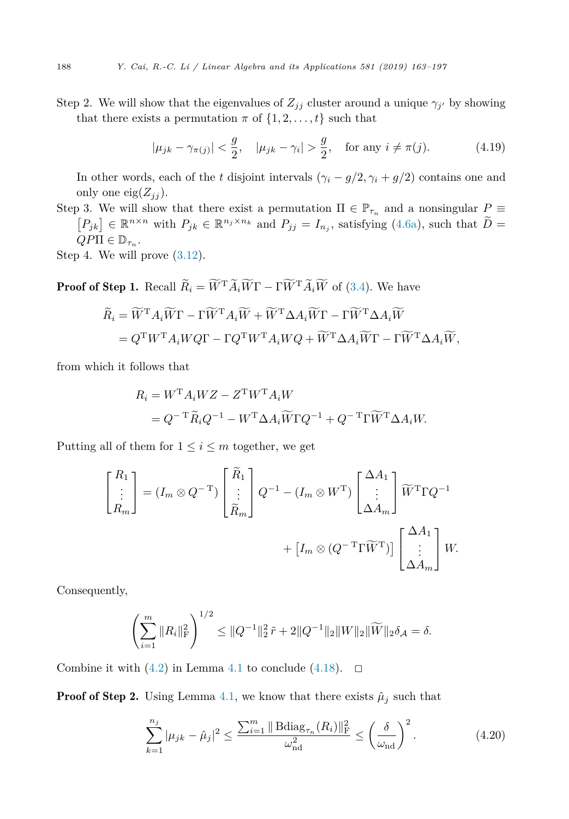<span id="page-25-0"></span>Step 2. We will show that the eigenvalues of  $Z_{jj}$  cluster around a unique  $\gamma_{j'}$  by showing that there exists a permutation  $\pi$  of  $\{1, 2, \ldots, t\}$  such that

$$
|\mu_{jk} - \gamma_{\pi(j)}| < \frac{g}{2}, \quad |\mu_{jk} - \gamma_i| > \frac{g}{2}, \quad \text{for any } i \neq \pi(j).
$$
 (4.19)

In other words, each of the *t* disjoint intervals  $(\gamma_i - g/2, \gamma_i + g/2)$  contains one and only one eig $(Z_{ij})$ .

Step 3. We will show that there exist a permutation  $\Pi \in \mathbb{P}_{\tau_n}$  and a nonsingular  $P \equiv [P_{jk}] \in \mathbb{R}^{n \times n}$  with  $P_{jk} \in \mathbb{R}^{n_j \times n_k}$  and  $P_{jj} = I_{n_j}$ , satisfying [\(4.6a\)](#page-20-0), such that  $\widetilde{D} =$  $QP\Pi \in \mathbb{D}_{\tau_n}$ .

Step 4. We will prove [\(3.12\)](#page-14-0).

**Proof of Step 1.** Recall  $R_i = W^{\mathrm{T}} A_i W \Gamma - \Gamma W^{\mathrm{T}} A_i W$  of [\(3.4\)](#page-13-0). We have

$$
\widetilde{R}_i = \widetilde{W}^{\mathrm{T}} A_i \widetilde{W} \Gamma - \Gamma \widetilde{W}^{\mathrm{T}} A_i \widetilde{W} + \widetilde{W}^{\mathrm{T}} \Delta A_i \widetilde{W} \Gamma - \Gamma \widetilde{W}^{\mathrm{T}} \Delta A_i \widetilde{W}
$$
\n
$$
= Q^{\mathrm{T}} W^{\mathrm{T}} A_i W Q \Gamma - \Gamma Q^{\mathrm{T}} W^{\mathrm{T}} A_i W Q + \widetilde{W}^{\mathrm{T}} \Delta A_i \widetilde{W} \Gamma - \Gamma \widetilde{W}^{\mathrm{T}} \Delta A_i \widetilde{W},
$$

from which it follows that

$$
R_i = W^{\mathrm{T}} A_i W Z - Z^{\mathrm{T}} W^{\mathrm{T}} A_i W
$$
  
=  $Q^{-\mathrm{T}} \widetilde{R}_i Q^{-1} - W^{\mathrm{T}} \Delta A_i \widetilde{W} \Gamma Q^{-1} + Q^{-\mathrm{T}} \Gamma \widetilde{W}^{\mathrm{T}} \Delta A_i W.$ 

Putting all of them for  $1 \leq i \leq m$  together, we get

$$
\begin{bmatrix} R_1 \\ \vdots \\ R_m \end{bmatrix} = (I_m \otimes Q^{-T}) \begin{bmatrix} \widetilde{R}_1 \\ \vdots \\ \widetilde{R}_m \end{bmatrix} Q^{-1} - (I_m \otimes W^T) \begin{bmatrix} \Delta A_1 \\ \vdots \\ \Delta A_m \end{bmatrix} \widetilde{W}^T \Gamma Q^{-1} + \left[ I_m \otimes (Q^{-T} \Gamma \widetilde{W}^T) \right] \begin{bmatrix} \Delta A_1 \\ \vdots \\ \Delta A_m \end{bmatrix} W.
$$

Consequently,

$$
\left(\sum_{i=1}^m \|R_i\|_{\mathrm{F}}^2\right)^{1/2} \leq \|Q^{-1}\|_2^2 \tilde{r} + 2\|Q^{-1}\|_2 \|W\|_2 \|\widetilde{W}\|_2 \delta_{\mathcal{A}} = \delta.
$$

Combine it with  $(4.2)$  in Lemma [4.1](#page-18-0) to conclude  $(4.18)$ .  $\Box$ 

**Proof of Step 2.** Using Lemma [4.1,](#page-18-0) we know that there exists  $\hat{\mu}_j$  such that

$$
\sum_{k=1}^{n_j} |\mu_{jk} - \hat{\mu}_j|^2 \le \frac{\sum_{i=1}^m \|\text{Bdiag}_{\tau_n}(R_i)\|_{\text{F}}^2}{\omega_{\text{nd}}^2} \le \left(\frac{\delta}{\omega_{\text{nd}}}\right)^2. \tag{4.20}
$$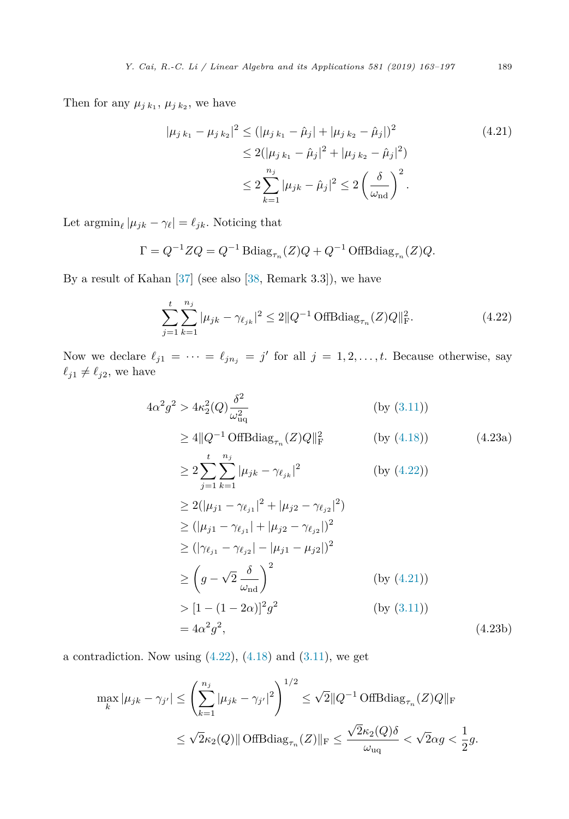<span id="page-26-0"></span>Then for any  $\mu_{j k_1}$ ,  $\mu_{j k_2}$ , we have

$$
|\mu_{j k_1} - \mu_{j k_2}|^2 \le (|\mu_{j k_1} - \hat{\mu}_j| + |\mu_{j k_2} - \hat{\mu}_j|)^2
$$
  
\n
$$
\le 2(|\mu_{j k_1} - \hat{\mu}_j|^2 + |\mu_{j k_2} - \hat{\mu}_j|^2)
$$
  
\n
$$
\le 2 \sum_{k=1}^{n_j} |\mu_{j k} - \hat{\mu}_j|^2 \le 2 \left(\frac{\delta}{\omega_{\text{nd}}}\right)^2.
$$
\n(4.21)

Let  $\operatorname{argmin}_{\ell} |\mu_{jk} - \gamma_{\ell}| = \ell_{jk}$ . Noticing that

$$
\Gamma = Q^{-1} Z Q = Q^{-1} \text{Bdiag}_{\tau_n}(Z) Q + Q^{-1} \text{OffBdiag}_{\tau_n}(Z) Q.
$$

By a result of Kahan [\[37\]](#page-34-0) (see also [\[38,](#page-34-0) Remark 3.3]), we have

$$
\sum_{j=1}^{t} \sum_{k=1}^{n_j} |\mu_{jk} - \gamma_{\ell_{jk}}|^2 \le 2 \|Q^{-1} \text{ OffBdiag}_{\tau_n}(Z)Q\|_{\text{F}}^2.
$$
 (4.22)

Now we declare  $\ell_{j1} = \cdots = \ell_{jn_j} = j'$  for all  $j = 1, 2, \ldots, t$ . Because otherwise, say  $\ell_{j1} \neq \ell_{j2}$ , we have

$$
4\alpha^2 g^2 > 4\kappa_2^2(Q) \frac{\delta^2}{\omega_{\text{uq}}^2} \qquad \text{(by (3.11))}
$$
  
\n
$$
\geq 4 \|Q^{-1} \text{ OffBdiag}_{\tau_n}(Z)Q\|_{\text{F}}^2 \qquad \text{(by (4.18))} \qquad (4.23a)
$$
  
\n
$$
\geq 2 \sum_{j=1}^t \sum_{k=1}^{n_j} |\mu_{jk} - \gamma_{\ell_{jk}}|^2 \qquad \text{(by (4.22))}
$$
  
\n
$$
\geq 2(|\mu_{j1} - \gamma_{\ell_{j1}}|^2 + |\mu_{j2} - \gamma_{\ell_{j2}}|^2)
$$
  
\n
$$
\geq (|\mu_{j1} - \gamma_{\ell_{j1}}| + |\mu_{j2} - \gamma_{\ell_{j2}}|)^2
$$
  
\n
$$
\geq (|\gamma_{\ell_{j1}} - \gamma_{\ell_{j2}}| - |\mu_{j1} - \mu_{j2}|)^2
$$
  
\n
$$
\geq (g - \sqrt{2} \frac{\delta}{\omega_{\text{nd}}})^2 \qquad \text{(by (4.21))}
$$
  
\n
$$
> [1 - (1 - 2\alpha)]^2 g^2 \qquad \text{(by (3.11))}
$$
  
\n
$$
= 4\alpha^2 g^2, \qquad (4.23b)
$$

a contradiction. Now using  $(4.22)$ ,  $(4.18)$  and  $(3.11)$ , we get

$$
\max_{k} |\mu_{jk} - \gamma_{j'}| \le \left(\sum_{k=1}^{n_j} |\mu_{jk} - \gamma_{j'}|^2\right)^{1/2} \le \sqrt{2} \|Q^{-1} \text{ OffBdiag}_{\tau_n}(Z)Q\|_{\text{F}}
$$
  

$$
\le \sqrt{2}\kappa_2(Q) \|\text{ OffBdiag}_{\tau_n}(Z)\|_{\text{F}} \le \frac{\sqrt{2}\kappa_2(Q)\delta}{\omega_{\text{uq}}} < \sqrt{2}\alpha g < \frac{1}{2}g.
$$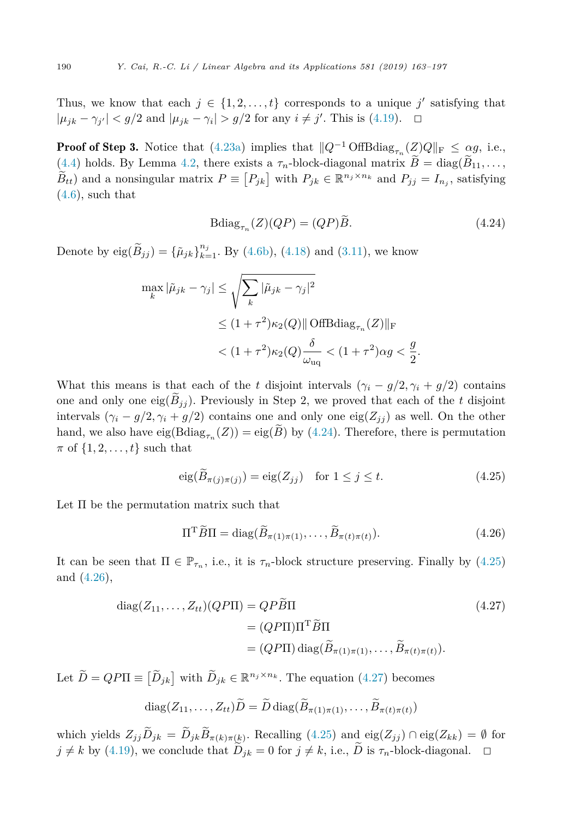Thus, we know that each  $j \in \{1, 2, \ldots, t\}$  corresponds to a unique  $j'$  satisfying that  $|\mu_{jk} - \gamma_{j'}| < g/2$  and  $|\mu_{jk} - \gamma_i| > g/2$  for any  $i \neq j'$ . This is [\(4.19\)](#page-25-0).  $\Box$ 

**Proof of Step 3.** Notice that [\(4.23a\)](#page-26-0) implies that  $||Q^{-1} \text{OffBdiag}_{\tau_n}(Z)Q||_F \leq \alpha g$ , i.e.,  $(4.4)$  holds. By Lemma [4.2,](#page-20-0) there exists a  $\tau_n$ -block-diagonal matrix  $\widetilde{B} = \text{diag}(\widetilde{B}_{11}, \ldots,$  $B_{tt}$ ) and a nonsingular matrix  $P \equiv [P_{jk}]$  with  $P_{jk} \in \mathbb{R}^{n_j \times n_k}$  and  $P_{jj} = I_{n_j}$ , satisfying  $(4.6)$ , such that

$$
\text{Bdiag}_{\tau_n}(Z)(QP) = (QP)B. \tag{4.24}
$$

Denote by  $eig(\tilde{B}_{jj}) = {\{\tilde{\mu}_{jk}\}}_{k=1}^{n_j}$ . By [\(4.6b\)](#page-20-0), [\(4.18\)](#page-24-0) and [\(3.11\)](#page-14-0), we know

$$
\max_{k} |\tilde{\mu}_{jk} - \gamma_j| \leq \sqrt{\sum_{k} |\tilde{\mu}_{jk} - \gamma_j|^2}
$$
  

$$
\leq (1 + \tau^2) \kappa_2(Q) || \text{OffBdiag}_{\tau_n}(Z) ||_{\text{F}}
$$
  

$$
< (1 + \tau^2) \kappa_2(Q) \frac{\delta}{\omega_{\text{uq}}} < (1 + \tau^2) \alpha g < \frac{g}{2}.
$$

What this means is that each of the *t* disjoint intervals  $(\gamma_i - g/2, \gamma_i + g/2)$  contains one and only one eig $(\widetilde{B}_{ij})$ . Previously in Step 2, we proved that each of the *t* disjoint intervals  $(\gamma_i - g/2, \gamma_i + g/2)$  contains one and only one eig $(Z_{ij})$  as well. On the other hand, we also have  $\text{eig}(\text{Bdiag}_{\tau_n}(Z)) = \text{eig}(\tilde{B})$  by (4.24). Therefore, there is permutation  $\pi$  of  $\{1, 2, \ldots, t\}$  such that

$$
eig(B_{\pi(j)\pi(j)}) = eig(Z_{jj}) \quad \text{for } 1 \le j \le t. \tag{4.25}
$$

Let Π be the permutation matrix such that

$$
\Pi^{\mathrm{T}}\widetilde{B}\Pi = \mathrm{diag}(\widetilde{B}_{\pi(1)\pi(1)},\ldots,\widetilde{B}_{\pi(t)\pi(t)}).
$$
 (4.26)

It can be seen that  $\Pi \in \mathbb{P}_{\tau_n}$ , i.e., it is  $\tau_n$ -block structure preserving. Finally by (4.25) and (4.26),

$$
diag(Z_{11},...,Z_{tt})(QP\Pi) = QP\widetilde{B}\Pi
$$
  
=  $(QP\Pi)\Pi^{T}\widetilde{B}\Pi$   
=  $(QP\Pi) diag(\widetilde{B}_{\pi(1)\pi(1)},..., \widetilde{B}_{\pi(t)\pi(t)}).$  (4.27)

Let  $\widetilde{D} = QP\Pi \equiv [\widetilde{D}_{jk}]$  with  $\widetilde{D}_{jk} \in \mathbb{R}^{n_j \times n_k}$ . The equation (4.27) becomes

$$
diag(Z_{11},\ldots,Z_{tt})D=D diag(B_{\pi(1)\pi(1)},\ldots,B_{\pi(t)\pi(t)})
$$

which yields  $Z_{jj}\tilde{D}_{jk} = \tilde{D}_{jk}\tilde{B}_{\pi(k)\pi(k)}$ . Recalling (4.25) and eig( $Z_{jj}$ ) ∩ eig( $Z_{kk}$ ) = Ø for  $j \neq k$  by [\(4.19\)](#page-25-0), we conclude that  $\widetilde{D}_{jk} = 0$  for  $j \neq k$ , i.e.,  $\widetilde{D}$  is  $\tau_n$ -block-diagonal.  $\Box$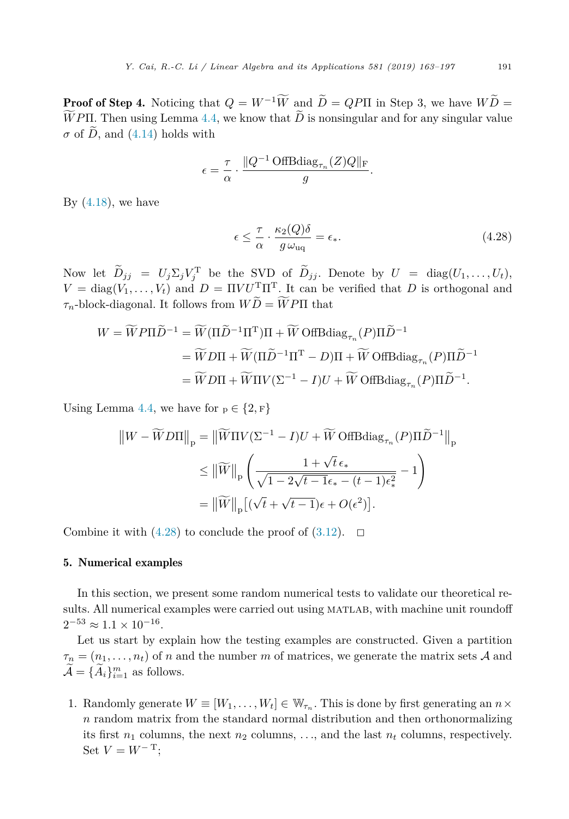<span id="page-28-0"></span>**Proof of Step 4.** Noticing that  $Q = W^{-1}W$  and  $\tilde{D} = QP\Pi$  in Step 3, we have  $W\tilde{D} = \tilde{W}\Pi P \Pi P$  $\mathbf{v}$ *WPII*. Then using Lemma [4.4,](#page-23-0) we know that *D* is nonsingular and for any singular value  $\sigma$  of  $\widetilde{D}$ , and [\(4.14\)](#page-23-0) holds with

$$
\epsilon = \frac{\tau}{\alpha} \cdot \frac{\|Q^{-1} \operatorname{OffBdiag}_{\tau_n}(Z)Q\|_{\mathrm{F}}}{g}.
$$

By  $(4.18)$ , we have

$$
\epsilon \leq \frac{\tau}{\alpha} \cdot \frac{\kappa_2(Q)\delta}{g\,\omega_{\text{uq}}} = \epsilon_*.\tag{4.28}
$$

Now let  $D_{jj} = U_j \Sigma_j V_j^{\mathrm{T}}$  be the SVD of  $D_{jj}$ . Denote by  $U = \text{diag}(U_1, \ldots, U_t)$ ,  $V = \text{diag}(\tilde{V_1}, \ldots, V_t)$  and  $D = \Pi V U^{\text{T}} \Pi^{\text{T}}$ . It can be verified that *D* is orthogonal and  $\tau_n$ -block-diagonal. It follows from  $WD = WPI$  that

$$
W = \widetilde{W}P\Pi \widetilde{D}^{-1} = \widetilde{W}(\Pi \widetilde{D}^{-1}\Pi^{\mathrm{T}})\Pi + \widetilde{W} \text{ OffBdiag}_{\tau_n}(P)\Pi \widetilde{D}^{-1}
$$
  
=  $\widetilde{W}D\Pi + \widetilde{W}(\Pi \widetilde{D}^{-1}\Pi^{\mathrm{T}} - D)\Pi + \widetilde{W} \text{ OffBdiag}_{\tau_n}(P)\Pi \widetilde{D}^{-1}$   
=  $\widetilde{W}D\Pi + \widetilde{W}\Pi V(\Sigma^{-1} - I)U + \widetilde{W} \text{ OffBdiag}_{\tau_n}(P)\Pi \widetilde{D}^{-1}.$ 

Using Lemma [4.4,](#page-23-0) we have for  $p \in \{2, F\}$ 

$$
\|W - \widetilde{W}D\Pi\|_{p} = \|\widetilde{W}\Pi V(\Sigma^{-1} - I)U + \widetilde{W} \text{ OffBdiag}_{\tau_n}(P)\Pi \widetilde{D}^{-1}\|_{p}
$$

$$
\leq \|\widetilde{W}\|_{p} \left(\frac{1 + \sqrt{t} \epsilon_*}{\sqrt{1 - 2\sqrt{t - 1}\epsilon_* - (t - 1)\epsilon_*^2}} - 1\right)
$$

$$
= \|\widetilde{W}\|_{p} \left[ (\sqrt{t} + \sqrt{t - 1})\epsilon + O(\epsilon^2) \right].
$$

Combine it with  $(4.28)$  to conclude the proof of  $(3.12)$ .  $\Box$ 

### 5. Numerical examples

In this section, we present some random numerical tests to validate our theoretical results. All numerical examples were carried out using MATLAB, with machine unit roundoff  $2^{-53} \approx 1.1 \times 10^{-16}$ .

Let us start by explain how the testing examples are constructed. Given a partition  $\tau_n = (n_1, \ldots, n_t)$  of *n* and the number *m* of matrices, we generate the matrix sets *A* and  $\mathcal{A} = \{A_i\}_{i=1}^m$  as follows.

1. Randomly generate  $W \equiv [W_1, \ldots, W_t] \in W_{\tau_n}$ . This is done by first generating an  $n \times$ *n* random matrix from the standard normal distribution and then orthonormalizing its first  $n_1$  columns, the next  $n_2$  columns, ..., and the last  $n_t$  columns, respectively. Set  $V = W^{-T}$ ;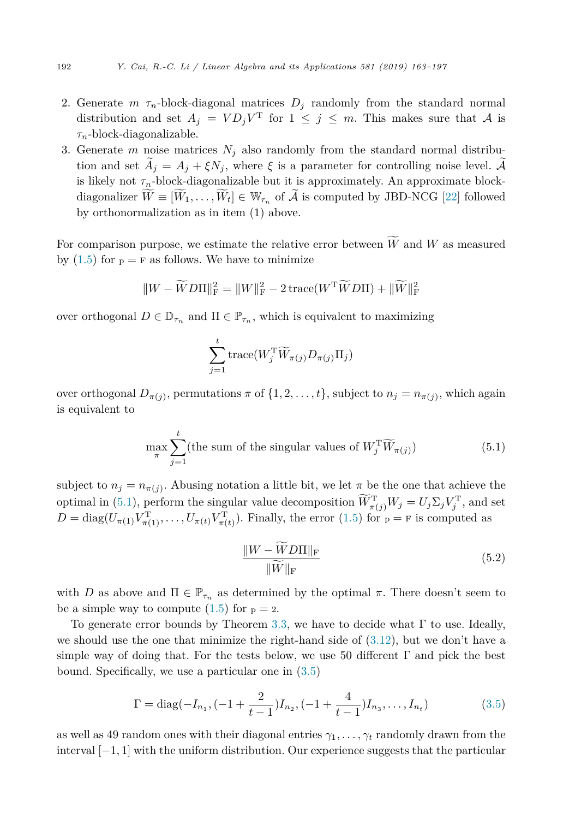- <span id="page-29-0"></span>2. Generate  $m \tau_n$ -block-diagonal matrices  $D_j$  randomly from the standard normal distribution and set  $A_j = V D_j V^T$  for  $1 \leq j \leq m$ . This makes sure that A is *τn*-block-diagonalizable.
- 3. Generate *m* noise matrices  $N_i$  also randomly from the standard normal distribution and set  $A_i = A_j + \xi N_j$ , where  $\xi$  is a parameter for controlling noise level. A is likely not  $\tau_n$ -block-diagonalizable but it is approximately. An approximate blockdiagonalizer  $W \equiv [W_1, \ldots, W_t] \in \mathbb{W}_{\tau_n}$  of A is computed by JBD-NCG [\[22\]](#page-34-0) followed by orthonormalization as in item (1) above.

For comparison purpose, we estimate the relative error between *W* and *W* as measured by  $(1.5)$  for  $p = F$  as follows. We have to minimize

$$
||W - \widetilde{W}D\Pi||_{\mathrm{F}}^2 = ||W||_{\mathrm{F}}^2 - 2\operatorname{trace}(W^{\mathrm{T}}\widetilde{W}D\Pi) + ||\widetilde{W}||_{\mathrm{F}}^2
$$

over orthogonal  $D \in \mathbb{D}_{\tau_n}$  and  $\Pi \in \mathbb{P}_{\tau_n}$ , which is equivalent to maximizing

$$
\sum_{j=1}^{t} \text{trace}(W_j^{\text{T}} \widetilde{W}_{\pi(j)} D_{\pi(j)} \Pi_j)
$$

over orthogonal  $D_{\pi(j)}$ , permutations  $\pi$  of  $\{1, 2, \ldots, t\}$ , subject to  $n_j = n_{\pi(j)}$ , which again is equivalent to

$$
\max_{\pi} \sum_{j=1}^{t} \text{(the sum of the singular values of } W_j^{\mathrm{T}} \widetilde{W}_{\pi(j)} \text{)} \tag{5.1}
$$

subject to  $n_j = n_{\pi(j)}$ . Abusing notation a little bit, we let  $\pi$  be the one that achieve the optimal in (5.1), perform the singular value decomposition  $W_{\pi(j)}^T W_j = U_j \Sigma_j V_j^T$ , and set  $D = \text{diag}(U_{\pi(1)} V_{\pi(1)}^T, \dots, U_{\pi(t)} V_{\pi(t)}^T)$ . Finally, the error [\(1.5\)](#page-4-0) for  $p = F$  is computed as

$$
\frac{\|W - \widetilde{W}D\Pi\|_{\mathrm{F}}}{\|\widetilde{W}\|_{\mathrm{F}}} \tag{5.2}
$$

with *D* as above and  $\Pi \in \mathbb{P}_{\tau_n}$  as determined by the optimal  $\pi$ . There doesn't seem to be a simple way to compute  $(1.5)$  for  $p = 2$ .

To generate error bounds by Theorem [3.3,](#page-14-0) we have to decide what  $\Gamma$  to use. Ideally, we should use the one that minimize the right-hand side of  $(3.12)$ , but we don't have a simple way of doing that. For the tests below, we use 50 different  $\Gamma$  and pick the best bound. Specifically, we use a particular one in [\(3.5\)](#page-13-0)

$$
\Gamma = \text{diag}(-I_{n_1}, (-1 + \frac{2}{t-1})I_{n_2}, (-1 + \frac{4}{t-1})I_{n_3}, \dots, I_{n_t})
$$
\n(3.5)

as well as 49 random ones with their diagonal entries  $\gamma_1, \ldots, \gamma_t$  randomly drawn from the interval [−1*,* 1] with the uniform distribution. Our experience suggests that the particular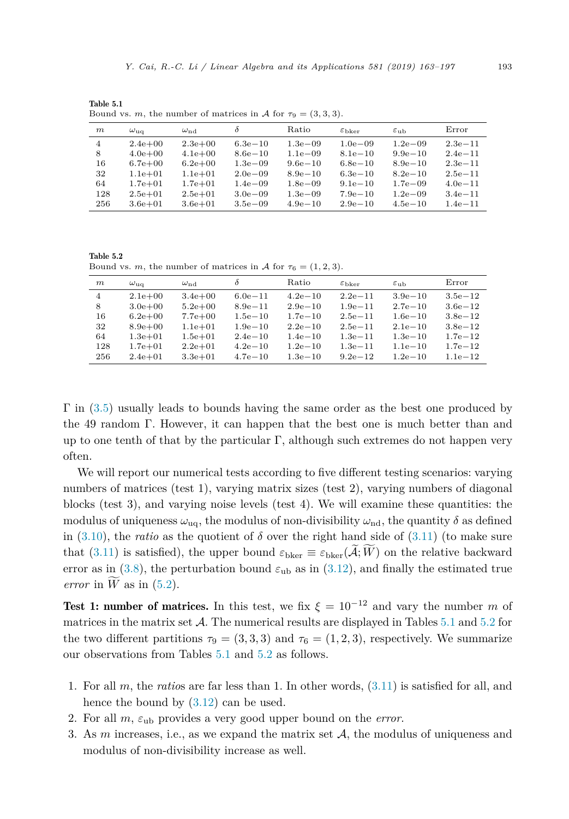*m ω*uq *ω*nd *δ* Ratio *ε*bker *ε*ub Error 4 2.4e+00 2.3e+00 6.3e−10 1.3e−09 1.0e−09 1.2e−09 2.3e−11 8 4.0e+00 4.1e+00 8.6e−10 1.1e−09 8.1e−10 9.9e−10 2.4e−11 16 6.7e+00 6.2e+00 1.3e−09 9.6e−10 6.8e−10 8.9e−10 2.3e−11 32 1.1e+01 1.1e+01 2.0e−09 8.9e−10 6.3e−10 8.2e−10 2.5e−11 64 1.7e+01 1.7e+01 1.4e−09 1.8e−09 9.1e−10 1.7e−09 4.0e−11 128 2.5e+01 2.5e+01 3.0e−09 1.3e−09 7.9e−10 1.2e−09 3.4e−11 256 3.6e+01 3.6e+01 3.5e−09 4.9e−10 2.9e−10 4.5e−10 1.4e−11

Table 5.1 Bound vs. *m*, the number of matrices in A for  $\tau_9 = (3, 3, 3)$ .

Table 5.2 Bound vs. *m*, the number of matrices in A for  $\tau_6 = (1, 2, 3)$ .

| m              | $\omega_{\rm uq}$ | $\omega_{\rm nd}$ | $\delta$    | Ratio       | $\varepsilon_{\rm bker}$ | $\varepsilon$ <sub>11</sub> <sub>b</sub> | Error       |
|----------------|-------------------|-------------------|-------------|-------------|--------------------------|------------------------------------------|-------------|
| $\overline{4}$ | $2.1e+0.0$        | $3.4e + 00$       | $6.0e - 11$ | $4.2e - 10$ | $2.2e - 11$              | $3.9e - 10$                              | $3.5e - 12$ |
| 8              | $3.0e + 00$       | $5.2e + 00$       | $8.9e - 11$ | $2.9e - 10$ | $1.9e - 11$              | $2.7e - 10$                              | $3.6e - 12$ |
| 16             | $6.2e + 00$       | $7.7e + 00$       | $1.5e - 10$ | $1.7e - 10$ | $2.5e - 11$              | $1.6e - 10$                              | $3.8e - 12$ |
| 32             | $8.9e + 00$       | $1.1e + 01$       | $1.9e - 10$ | $2.2e-10$   | $2.5e - 11$              | $2.1e - 10$                              | $3.8e-12$   |
| 64             | $1.3e + 01$       | $1.5e + 01$       | $2.4e - 10$ | $1.4e - 10$ | $1.3e - 11$              | $1.3e - 10$                              | $1.7e - 12$ |
| 128            | $1.7e + 01$       | $2.2e + 01$       | $4.2e - 10$ | $1.2e - 10$ | $1.3e - 11$              | $1.1e - 10$                              | $1.7e-12$   |
| 256            | $2.4e + 01$       | $3.3e + 01$       | $4.7e - 10$ | $1.3e - 10$ | $9.2e - 12$              | $1.2e - 10$                              | $1.1e-12$   |

 $\Gamma$  in [\(3.5\)](#page-13-0) usually leads to bounds having the same order as the best one produced by the 49 random Γ. However, it can happen that the best one is much better than and up to one tenth of that by the particular  $\Gamma$ , although such extremes do not happen very often.

We will report our numerical tests according to five different testing scenarios: varying numbers of matrices (test 1), varying matrix sizes (test 2), varying numbers of diagonal blocks (test 3), and varying noise levels (test 4). We will examine these quantities: the modulus of uniqueness  $\omega_{\text{uq}}$ , the modulus of non-divisibility  $\omega_{\text{nd}}$ , the quantity  $\delta$  as defined in [\(3.10\)](#page-14-0), the *ratio* as the quotient of  $\delta$  over the right hand side of [\(3.11\)](#page-14-0) (to make sure that [\(3.11\)](#page-14-0) is satisfied), the upper bound  $\varepsilon_{\text{bker}} \equiv \varepsilon_{\text{bker}}(\mathcal{A}; W)$  on the relative backward error as in [\(3.8\)](#page-14-0), the perturbation bound  $\varepsilon_{\text{ub}}$  as in [\(3.12\)](#page-14-0), and finally the estimated true *error* in *W* as in  $(5.2)$ .

Test 1: number of matrices. In this test, we fix  $\xi = 10^{-12}$  and vary the number *m* of matrices in the matrix set  $\mathcal{A}$ . The numerical results are displayed in Tables 5.1 and 5.2 for the two different partitions  $\tau_9 = (3,3,3)$  and  $\tau_6 = (1,2,3)$ , respectively. We summarize our observations from Tables 5.1 and 5.2 as follows.

- 1. For all *m*, the *ratio*s are far less than 1. In other words, [\(3.11\)](#page-14-0) is satisfied for all, and hence the bound by  $(3.12)$  can be used.
- 2. For all  $m$ ,  $\varepsilon_{\text{ub}}$  provides a very good upper bound on the *error*.
- 3. As  $m$  increases, i.e., as we expand the matrix set  $A$ , the modulus of uniqueness and modulus of non-divisibility increase as well.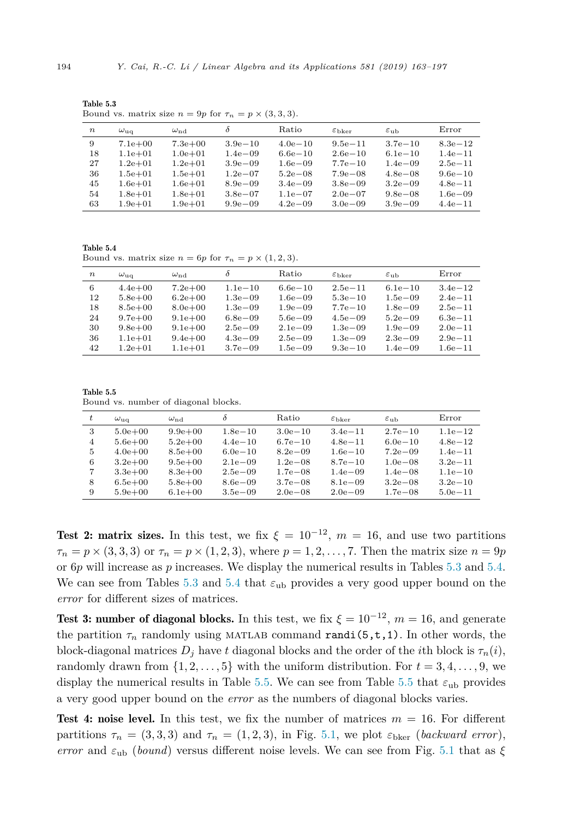| $\,n$ | $\omega_{\rm u\alpha}$ | $\omega_{\mathrm{nd}}$ | δ            | Ratio        | $\varepsilon_{\rm bker}$ | $\varepsilon$ <sub>11</sub> b | Error        |
|-------|------------------------|------------------------|--------------|--------------|--------------------------|-------------------------------|--------------|
| 9     | $7.1e+00$              | $7.3e + 00$            | $3.9e - 10$  | $4.0e - 10$  | $9.5e - 11$              | $3.7e - 10$                   | $8.3e - 12$  |
| 18    | $1.1e + 01$            | $1.0e + 01$            | $1.4e - 0.9$ | $6.6e - 10$  | $2.6e - 10$              | $6.1e-10$                     | $1.4e - 11$  |
| 27    | $1.2e + 01$            | $1.2e + 01$            | $3.9e - 0.9$ | $1.6e - 0.9$ | $7.7e - 10$              | $1.4e - 0.9$                  | $2.5e - 11$  |
| 36    | $1.5e + 01$            | $1.5e + 01$            | $1.2e - 07$  | $5.2e - 0.8$ | $7.9e - 08$              | $4.8e - 0.8$                  | $9.6e - 10$  |
| 45    | $1.6e + 01$            | $1.6e + 01$            | $8.9e - 0.9$ | $3.4e - 0.9$ | $3.8e - 0.9$             | $3.2e - 0.9$                  | $4.8e - 11$  |
| 54    | $1.8e + 01$            | $1.8e + 01$            | $3.8e - 07$  | $1.1e{-}07$  | $2.0e - 07$              | $9.8e - 0.8$                  | $1.6e - 0.9$ |
| 63    | $1.9e + 01$            | $1.9e + 01$            | $9.9e - 0.9$ | $4.2e - 0.9$ | $3.0e - 0.9$             | $3.9e - 0.9$                  | $4.4e - 11$  |

Table 5.3 Bound vs. matrix size  $n = 9p$  for  $\tau_n = p \times (3, 3, 3)$ .

Table 5.4 Bound vs. matrix size  $n = 6p$  for  $\tau_n = p \times (1, 2, 3)$ .

| $\, n$ | $\omega_{\rm uq}$ | $\omega_{\rm nd}$ | δ            | Ratio        | $\varepsilon_{\rm bker}$ | $\varepsilon$ <sub>11</sub> h | Error       |
|--------|-------------------|-------------------|--------------|--------------|--------------------------|-------------------------------|-------------|
| 6      | $4.4e + 00$       | $7.2e + 00$       | $1.1e - 10$  | $6.6e - 10$  | $2.5e - 11$              | $6.1e - 10$                   | $3.4e-12$   |
| 12     | $5.8e + 00$       | $6.2e + 00$       | $1.3e - 0.9$ | $1.6e - 0.9$ | $5.3e - 10$              | $1.5e - 0.9$                  | $2.4e - 11$ |
| 18     | $8.5e + 00$       | $8.0e + 00$       | $1.3e - 0.9$ | $1.9e - 0.9$ | $7.7e - 10$              | $1.8e - 0.9$                  | $2.5e - 11$ |
| 24     | $9.7e + 00$       | $9.1e + 00$       | $6.8e - 0.9$ | $5.6e - 0.9$ | $4.5e - 0.9$             | $5.2e - 0.9$                  | $6.3e - 11$ |
| 30     | $9.8e + 00$       | $9.1e + 00$       | $2.5e - 0.9$ | $2.1e - 0.9$ | $1.3e - 0.9$             | $1.9e - 0.9$                  | $2.0e - 11$ |
| 36     | $1.1e + 01$       | $9.4e + 00$       | $4.3e - 0.9$ | $2.5e - 0.9$ | $1.3e - 0.9$             | $2.3e - 0.9$                  | $2.9e - 11$ |
| 42     | $1.2e + 01$       | $1.1e + 01$       | $3.7e - 0.9$ | $1.5e - 09$  | $9.3e - 10$              | $1.4e - 0.9$                  | $1.6e - 11$ |

Table 5.5 Bound vs. number of diagonal blocks.

|    | $\omega_{\rm u\alpha}$ | $\omega_{\rm nd}$ | $\delta$     | Ratio        | $\varepsilon$ bker | $\varepsilon$ <sub>11</sub> b | Error       |
|----|------------------------|-------------------|--------------|--------------|--------------------|-------------------------------|-------------|
| 3  | $5.0e + 00$            | $9.9e + 00$       | $1.8e - 10$  | $3.0e - 10$  | $3.4e - 11$        | $2.7e - 10$                   | $1.1e-12$   |
| 4  | $5.6e + 00$            | $5.2e + 00$       | $4.4e - 10$  | $6.7e - 10$  | $4.8e - 11$        | $6.0e - 10$                   | $4.8e - 12$ |
| 5. | $4.0e + 00$            | $8.5e + 00$       | $6.0e - 10$  | $8.2e - 0.9$ | $1.6e - 10$        | $7.2e - 0.9$                  | $1.4e - 11$ |
| 6  | $3.2e + 00$            | $9.5e + 00$       | $2.1e - 0.9$ | $1.2e - 0.8$ | $8.7e - 10$        | $1.0e - 0.8$                  | $3.2e - 11$ |
|    | $3.3e + 00$            | $8.3e + 00$       | $2.5e - 0.9$ | $1.7e - 0.8$ | $1.4e - 0.9$       | $1.4e - 08$                   | $1.1e - 10$ |
| 8  | $6.5e + 00$            | $5.8e + 00$       | $8.6e - 0.9$ | $3.7e - 0.8$ | $8.1e - 0.9$       | $3.2e - 0.8$                  | $3.2e - 10$ |
| 9  | $5.9e + 00$            | $6.1e + 00$       | $3.5e - 0.9$ | $2.0e - 0.8$ | $2.0e - 0.9$       | $1.7e - 0.8$                  | $5.0e - 11$ |

Test 2: matrix sizes. In this test, we fix  $\xi = 10^{-12}$ ,  $m = 16$ , and use two partitions  $\tau_n = p \times (3, 3, 3)$  or  $\tau_n = p \times (1, 2, 3)$ , where  $p = 1, 2, \ldots, 7$ . Then the matrix size  $n = 9p$ or 6*p* will increase as *p* increases. We display the numerical results in Tables 5.3 and 5.4. We can see from Tables 5.3 and 5.4 that  $\varepsilon_{\text{ub}}$  provides a very good upper bound on the *error* for different sizes of matrices.

Test 3: number of diagonal blocks. In this test, we fix  $\xi = 10^{-12}$ ,  $m = 16$ , and generate the partition  $\tau_n$  randomly using MATLAB command randi(5, t, 1). In other words, the block-diagonal matrices  $D_i$  have *t* diagonal blocks and the order of the *i*th block is  $\tau_n(i)$ , randomly drawn from  $\{1, 2, \ldots, 5\}$  with the uniform distribution. For  $t = 3, 4, \ldots, 9$ , we display the numerical results in Table 5.5. We can see from Table 5.5 that  $\varepsilon_{\text{ub}}$  provides a very good upper bound on the *error* as the numbers of diagonal blocks varies.

**Test 4: noise level.** In this test, we fix the number of matrices  $m = 16$ . For different partitions  $\tau_n = (3, 3, 3)$  and  $\tau_n = (1, 2, 3)$ , in Fig. [5.1,](#page-32-0) we plot  $\varepsilon_{\text{bker}}$  (*backward error*), *error* and  $\varepsilon_{\text{ub}}$  (*bound*) versus different noise levels. We can see from Fig. [5.1](#page-32-0) that as  $\xi$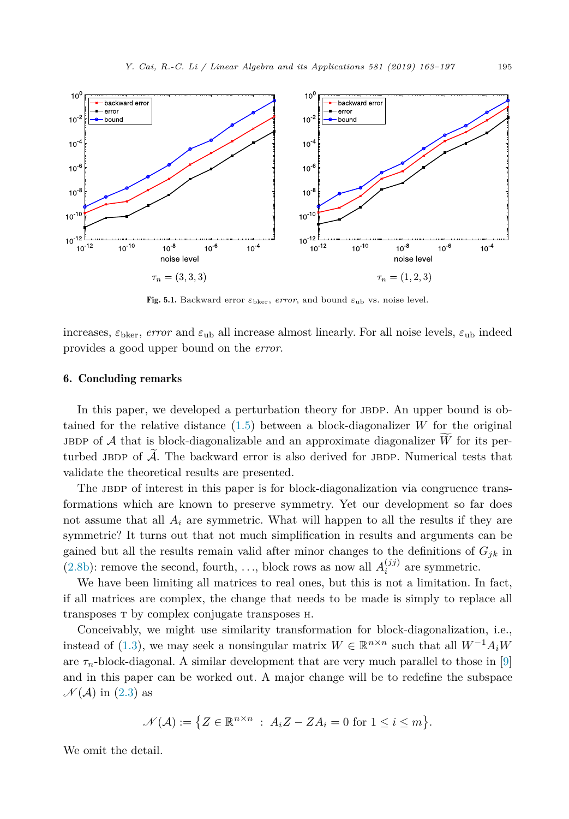<span id="page-32-0"></span>

Fig. 5.1. Backward error  $\varepsilon_{\text{bker}}$ , *error*, and bound  $\varepsilon_{\text{ub}}$  vs. noise level.

increases,  $\varepsilon_{\text{bker}}$ , *error* and  $\varepsilon_{\text{ub}}$  all increase almost linearly. For all noise levels,  $\varepsilon_{\text{ub}}$  indeed provides a good upper bound on the *error*.

#### 6. Concluding remarks

In this paper, we developed a perturbation theory for JBDP. An upper bound is obtained for the relative distance [\(1.5\)](#page-4-0) between a block-diagonalizer *W* for the original JBDP of A that is block-diagonalizable and an approximate diagonalizer  $\widetilde{W}$  for its perturbed JBDP of  $\tilde{\mathcal{A}}$ . The backward error is also derived for JBDP. Numerical tests that validate the theoretical results are presented.

The JBDP of interest in this paper is for block-diagonalization via congruence transformations which are known to preserve symmetry. Yet our development so far does not assume that all  $A_i$  are symmetric. What will happen to all the results if they are symmetric? It turns out that not much simplification in results and arguments can be gained but all the results remain valid after minor changes to the definitions of  $G_{ik}$  in [\(2.8b\)](#page-8-0): remove the second, fourth, ..., block rows as now all  $A_i^{(jj)}$  are symmetric.

We have been limiting all matrices to real ones, but this is not a limitation. In fact, if all matrices are complex, the change that needs to be made is simply to replace all transposes <sup>T</sup> by complex conjugate transposes <sup>H</sup>.

Conceivably, we might use similarity transformation for block-diagonalization, i.e., instead of [\(1.3\)](#page-2-0), we may seek a nonsingular matrix  $W \in \mathbb{R}^{n \times n}$  such that all  $W^{-1}A_iW$ are  $\tau_n$ -block-diagonal. A similar development that are very much parallel to those in [\[9\]](#page-33-0) and in this paper can be worked out. A major change will be to redefine the subspace  $\mathcal{N}(\mathcal{A})$  in [\(2.3\)](#page-8-0) as

$$
\mathcal{N}(\mathcal{A}) := \{ Z \in \mathbb{R}^{n \times n} : A_i Z - Z A_i = 0 \text{ for } 1 \le i \le m \}.
$$

We omit the detail.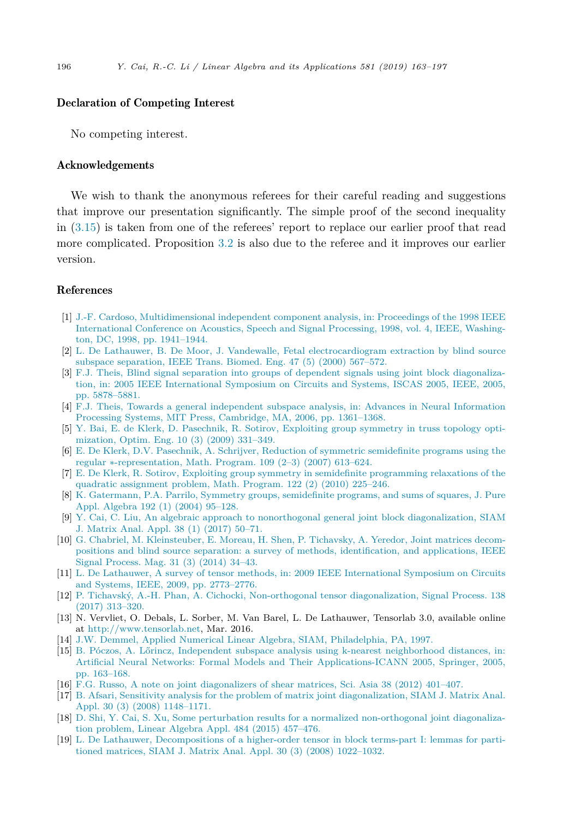#### <span id="page-33-0"></span>Declaration of Competing Interest

No competing interest.

#### Acknowledgements

We wish to thank the anonymous referees for their careful reading and suggestions that improve our presentation significantly. The simple proof of the second inequality in [\(3.15\)](#page-17-0) is taken from one of the referees' report to replace our earlier proof that read more complicated. Proposition [3.2](#page-13-0) is also due to the referee and it improves our earlier version.

#### References

- [1] J.-F. Cardoso, [Multidimensional](http://refhub.elsevier.com/S0024-3795(19)30293-9/bib636172646F736F313939386D756C746964696D656E73696F6E616Cs1) independent component analysis, in: Proceedings of the 1998 IEEE [International](http://refhub.elsevier.com/S0024-3795(19)30293-9/bib636172646F736F313939386D756C746964696D656E73696F6E616Cs1) Conference on Acoustics, Speech and Signal Processing, 1998, vol. 4, IEEE, Washington, DC, 1998, [pp. 1941–1944.](http://refhub.elsevier.com/S0024-3795(19)30293-9/bib636172646F736F313939386D756C746964696D656E73696F6E616Cs1)
- [2] L. De Lathauwer, B. De Moor, J. Vandewalle, Fetal [electrocardiogram](http://refhub.elsevier.com/S0024-3795(19)30293-9/bib646532303030666574616Cs1) extraction by blind source subspace [separation,](http://refhub.elsevier.com/S0024-3795(19)30293-9/bib646532303030666574616Cs1) IEEE Trans. Biomed. Eng. 47 (5) (2000) 567–572.
- [3] F.J. Theis, Blind signal separation into groups of dependent signals using joint block [diagonaliza](http://refhub.elsevier.com/S0024-3795(19)30293-9/bib746865697332303035626C696E64s1)tion, in: 2005 IEEE [International](http://refhub.elsevier.com/S0024-3795(19)30293-9/bib746865697332303035626C696E64s1) Symposium on Circuits and Systems, ISCAS 2005, IEEE, 2005, [pp. 5878–5881.](http://refhub.elsevier.com/S0024-3795(19)30293-9/bib746865697332303035626C696E64s1)
- [4] F.J. Theis, Towards a general [independent](http://refhub.elsevier.com/S0024-3795(19)30293-9/bib746865697332303036746F7761726473s1) subspace analysis, in: Advances in Neural Information Processing Systems, MIT Press, Cambridge, MA, 2006, [pp. 1361–1368.](http://refhub.elsevier.com/S0024-3795(19)30293-9/bib746865697332303036746F7761726473s1)
- [5] Y. Bai, E. de Klerk, D. [Pasechnik,](http://refhub.elsevier.com/S0024-3795(19)30293-9/bib626169323030396578706C6F6974696E67s1) R. Sotirov, Exploiting group symmetry in truss topology opti[mization,](http://refhub.elsevier.com/S0024-3795(19)30293-9/bib626169323030396578706C6F6974696E67s1) Optim. Eng. 10 (3) (2009) 331–349.
- [6] E. De Klerk, D.V. Pasechnik, A. Schrijver, Reduction of symmetric [semidefinite](http://refhub.elsevier.com/S0024-3795(19)30293-9/bib646532303037726564756374696F6Es1) programs using the regular ∗[-representation,](http://refhub.elsevier.com/S0024-3795(19)30293-9/bib646532303037726564756374696F6Es1) Math. Program. 109 (2–3) (2007) 613–624.
- [7] E. De Klerk, R. Sotirov, Exploiting group symmetry in semidefinite [programming](http://refhub.elsevier.com/S0024-3795(19)30293-9/bib6465323031306578706C6F6974696E67s1) relaxations of the quadratic [assignment](http://refhub.elsevier.com/S0024-3795(19)30293-9/bib6465323031306578706C6F6974696E67s1) problem, Math. Program. 122 (2) (2010) 225–246.
- [8] K. [Gatermann,](http://refhub.elsevier.com/S0024-3795(19)30293-9/bib67617465726D616E6E3230303473796D6D65747279s1) P.A. Parrilo, Symmetry groups, semidefinite programs, and sums of squares, J. Pure Appl. [Algebra](http://refhub.elsevier.com/S0024-3795(19)30293-9/bib67617465726D616E6E3230303473796D6D65747279s1) 192 (1) (2004) 95–128.
- [9] Y. Cai, C. Liu, An algebraic approach to nonorthogonal general joint block [diagonalization,](http://refhub.elsevier.com/S0024-3795(19)30293-9/bib63616932303137616C67656272616963s1) SIAM J. [Matrix](http://refhub.elsevier.com/S0024-3795(19)30293-9/bib63616932303137616C67656272616963s1) Anal. Appl. 38 (1) (2017) 50–71.
- [10] G. Chabriel, M. [Kleinsteuber,](http://refhub.elsevier.com/S0024-3795(19)30293-9/bib636861627269656C323031346A6F696E74s1) E. Moreau, H. Shen, P. Tichavsky, A. Yeredor, Joint matrices decompositions and blind source separation: a survey of methods, [identification,](http://refhub.elsevier.com/S0024-3795(19)30293-9/bib636861627269656C323031346A6F696E74s1) and applications, IEEE Signal [Process.](http://refhub.elsevier.com/S0024-3795(19)30293-9/bib636861627269656C323031346A6F696E74s1) Mag. 31 (3) (2014) 34–43.
- [11] L. De Lathauwer, A survey of tensor methods, in: 2009 IEEE [International](http://refhub.elsevier.com/S0024-3795(19)30293-9/bib646532303039737572766579s1) Symposium on Circuits and Systems, IEEE, 2009, [pp. 2773–2776.](http://refhub.elsevier.com/S0024-3795(19)30293-9/bib646532303039737572766579s1)
- [12] P. Tichavský, A.-H. Phan, A. Cichocki, Non-orthogonal tensor [diagonalization,](http://refhub.elsevier.com/S0024-3795(19)30293-9/bib746963686176736B79323031346E6F6Es1) Signal Process. 138 (2017) [313–320.](http://refhub.elsevier.com/S0024-3795(19)30293-9/bib746963686176736B79323031346E6F6Es1)
- [13] N. Vervliet, O. Debals, L. Sorber, M. Van Barel, L. De Lathauwer, Tensorlab 3.0, available online at <http://www.tensorlab.net>, Mar. 2016.
- [14] J.W. Demmel, Applied Numerical Linear Algebra, SIAM, [Philadelphia,](http://refhub.elsevier.com/S0024-3795(19)30293-9/bib64656D6D656C313939376170706C696564s1) PA, 1997.
- [15] B. Póczos, A. Lőrincz, Independent subspace analysis using k-nearest [neighborhood](http://refhub.elsevier.com/S0024-3795(19)30293-9/bib706F637A6F7332303035696E646570656E64656E74s1) distances, in: Artificial Neural Networks: Formal Models and Their [Applications-ICANN](http://refhub.elsevier.com/S0024-3795(19)30293-9/bib706F637A6F7332303035696E646570656E64656E74s1) 2005, Springer, 2005, [pp. 163–168.](http://refhub.elsevier.com/S0024-3795(19)30293-9/bib706F637A6F7332303035696E646570656E64656E74s1)
- [16] F.G. Russo, A note on joint [diagonalizers](http://refhub.elsevier.com/S0024-3795(19)30293-9/bib727573736F323031326E6F7465s1) of shear matrices, Sci. Asia 38 (2012) 401–407.
- [17] B. Afsari, Sensitivity analysis for the problem of matrix joint [diagonalization,](http://refhub.elsevier.com/S0024-3795(19)30293-9/bib6166736172693230303873656E7369746976697479s1) SIAM J. Matrix Anal. Appl. 30 (3) (2008) [1148–1171.](http://refhub.elsevier.com/S0024-3795(19)30293-9/bib6166736172693230303873656E7369746976697479s1)
- [18] D. Shi, Y. Cai, S. Xu, Some perturbation results for a normalized [non-orthogonal](http://refhub.elsevier.com/S0024-3795(19)30293-9/bib73686932303135736F6D65s1) joint diagonalization [problem,](http://refhub.elsevier.com/S0024-3795(19)30293-9/bib73686932303135736F6D65s1) Linear Algebra Appl. 484 (2015) 457–476.
- [19] L. De Lathauwer, [Decompositions](http://refhub.elsevier.com/S0024-3795(19)30293-9/bib6465323030386465636F6D706F736974696F6E73s1) of a higher-order tensor in block terms-part I: lemmas for partitioned matrices, SIAM J. Matrix Anal. Appl. 30 (3) (2008) [1022–1032.](http://refhub.elsevier.com/S0024-3795(19)30293-9/bib6465323030386465636F6D706F736974696F6E73s1)